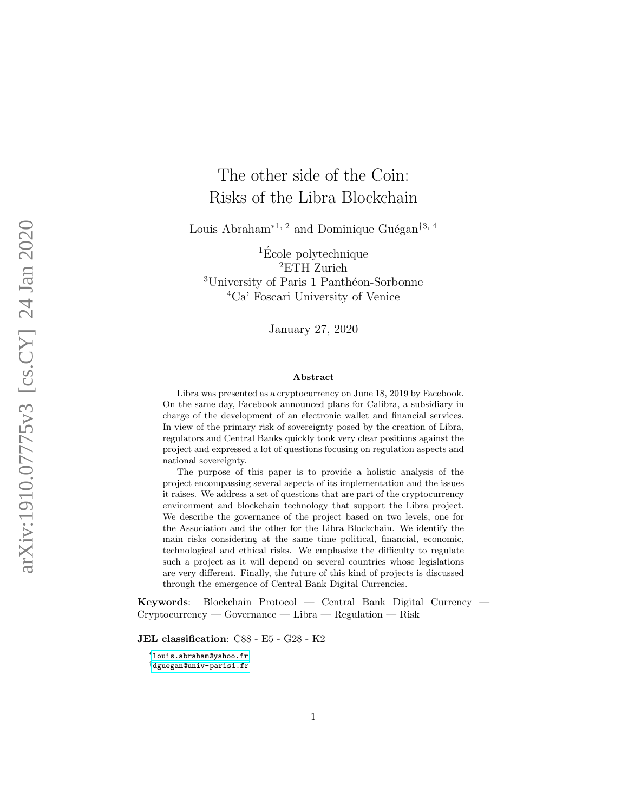# The other side of the Coin: Risks of the Libra Blockchain

Louis Abraham<sup>\*1, 2</sup> and Dominique Guégan<sup>†3, 4</sup>

 ${}^{1}\acute{E}$ cole polytechnique <sup>2</sup>ETH Zurich <sup>3</sup>University of Paris 1 Panthéon-Sorbonne <sup>4</sup>Ca' Foscari University of Venice

January 27, 2020

#### Abstract

Libra was presented as a cryptocurrency on June 18, 2019 by Facebook. On the same day, Facebook announced plans for Calibra, a subsidiary in charge of the development of an electronic wallet and financial services. In view of the primary risk of sovereignty posed by the creation of Libra, regulators and Central Banks quickly took very clear positions against the project and expressed a lot of questions focusing on regulation aspects and national sovereignty.

The purpose of this paper is to provide a holistic analysis of the project encompassing several aspects of its implementation and the issues it raises. We address a set of questions that are part of the cryptocurrency environment and blockchain technology that support the Libra project. We describe the governance of the project based on two levels, one for the Association and the other for the Libra Blockchain. We identify the main risks considering at the same time political, financial, economic, technological and ethical risks. We emphasize the difficulty to regulate such a project as it will depend on several countries whose legislations are very different. Finally, the future of this kind of projects is discussed through the emergence of Central Bank Digital Currencies.

Keywords: Blockchain Protocol — Central Bank Digital Currency — Cryptocurrency — Governance — Libra — Regulation — Risk

JEL classification: C88 - E5 - G28 - K2

<sup>∗</sup>[louis.abraham@yahoo.fr](mailto:louis.abraham@yahoo.fr)

<sup>†</sup>[dguegan@univ-paris1.fr](mailto:dguegan@univ-paris1.fr)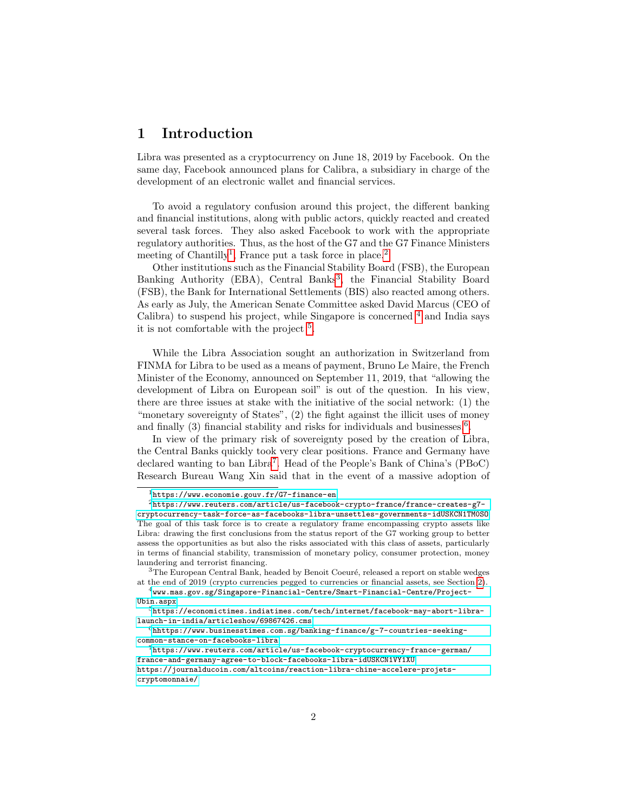# 1 Introduction

Libra was presented as a cryptocurrency on June 18, 2019 by Facebook. On the same day, Facebook announced plans for Calibra, a subsidiary in charge of the development of an electronic wallet and financial services.

To avoid a regulatory confusion around this project, the different banking and financial institutions, along with public actors, quickly reacted and created several task forces. They also asked Facebook to work with the appropriate regulatory authorities. Thus, as the host of the G7 and the G7 Finance Ministers meeting of Chantilly<sup>[1](#page-1-0)</sup>, France put a task force in place.<sup>[2](#page-1-1)</sup>

Other institutions such as the Financial Stability Board (FSB), the European Banking Authority (EBA), Central Banks<sup>[3](#page-1-2)</sup>, the Financial Stability Board (FSB), the Bank for International Settlements (BIS) also reacted among others. As early as July, the American Senate Committee asked David Marcus (CEO of Calibra) to suspend his project, while Singapore is concerned  $4$  and India says it is not comfortable with the project  $5$ .

While the Libra Association sought an authorization in Switzerland from FINMA for Libra to be used as a means of payment, Bruno Le Maire, the French Minister of the Economy, announced on September 11, 2019, that "allowing the development of Libra on European soil" is out of the question. In his view, there are three issues at stake with the initiative of the social network: (1) the "monetary sovereignty of States", (2) the fight against the illicit uses of money and finally  $(3)$  financial stability and risks for individuals and businesses.<sup>[6](#page-1-5)</sup>.

In view of the primary risk of sovereignty posed by the creation of Libra, the Central Banks quickly took very clear positions. France and Germany have declared wanting to ban Libra<sup>[7](#page-1-6)</sup>. Head of the People's Bank of China's (PBoC) Research Bureau Wang Xin said that in the event of a massive adoption of

<span id="page-1-1"></span><span id="page-1-0"></span><sup>1</sup><https://www.economie.gouv.fr/G7-finance-en>

 $2$ [https://www.reuters.com/article/us-facebook-crypto-france/france-creates-g7](https://www.reuters.com/article/us-facebook-crypto-france/france-creates-g7-cryptocurrency-task-force-as-facebooks-libra-unsettles-governments-idUSKCN1TM0SO) [cryptocurrency-task-force-as-facebooks-libra-unsettles-governments-idUSKCN1TM0SO](https://www.reuters.com/article/us-facebook-crypto-france/france-creates-g7-cryptocurrency-task-force-as-facebooks-libra-unsettles-governments-idUSKCN1TM0SO) The goal of this task force is to create a regulatory frame encompassing crypto assets like Libra: drawing the first conclusions from the status report of the G7 working group to better assess the opportunities as but also the risks associated with this class of assets, particularly in terms of financial stability, transmission of monetary policy, consumer protection, money laundering and terrorist financing.

<span id="page-1-2"></span> $3$ The European Central Bank, headed by Benoit Coeuré, released a report on stable wedges at the end of 2019 (crypto currencies pegged to currencies or financial assets, see Section [2\)](#page-3-0).

<span id="page-1-3"></span> $^4$ [www.mas.gov.sg/Singapore-Financial-Centre/Smart-Financial-Centre/Project-](www.mas.gov.sg/Singapore-Financial-Centre/Smart-Financial-Centre/Project-Ubin.aspx)[Ubin.aspx](www.mas.gov.sg/Singapore-Financial-Centre/Smart-Financial-Centre/Project-Ubin.aspx)

<span id="page-1-4"></span> $5$ [https://economictimes.indiatimes.com/tech/internet/facebook-may-abort-libra](https://economictimes.indiatimes.com/tech/internet/facebook-may-abort-libra-launch-in-india/articleshow/69867426.cms)[launch-in-india/articleshow/69867426.cms](https://economictimes.indiatimes.com/tech/internet/facebook-may-abort-libra-launch-in-india/articleshow/69867426.cms)

<span id="page-1-5"></span> $6$ [hhttps://www.businesstimes.com.sg/banking-finance/g-7-countries-seeking](hhttps://www.businesstimes.com.sg/banking-finance/g-7-countries-seeking-common-stance-on-facebooks-libra)[common-stance-on-facebooks-libra](hhttps://www.businesstimes.com.sg/banking-finance/g-7-countries-seeking-common-stance-on-facebooks-libra)

<span id="page-1-6"></span> $^{7}$ [https://www.reuters.com/article/us-facebook-cryptocurrency-france-german/](https://www.reuters.com/article/us-facebook-cryptocurrency-france-german/france-and-germany-agree-to-block-facebooks-libra-idUSKCN1VY1XU) [france-and-germany-agree-to-block-facebooks-libra-idUSKCN1VY1XU](https://www.reuters.com/article/us-facebook-cryptocurrency-france-german/france-and-germany-agree-to-block-facebooks-libra-idUSKCN1VY1XU) [https://journalducoin.com/altcoins/reaction-libra-chine-accelere-projets](https://journalducoin.com/altcoins/reaction-libra-chine-accelere-projets-cryptomonnaie/)[cryptomonnaie/](https://journalducoin.com/altcoins/reaction-libra-chine-accelere-projets-cryptomonnaie/)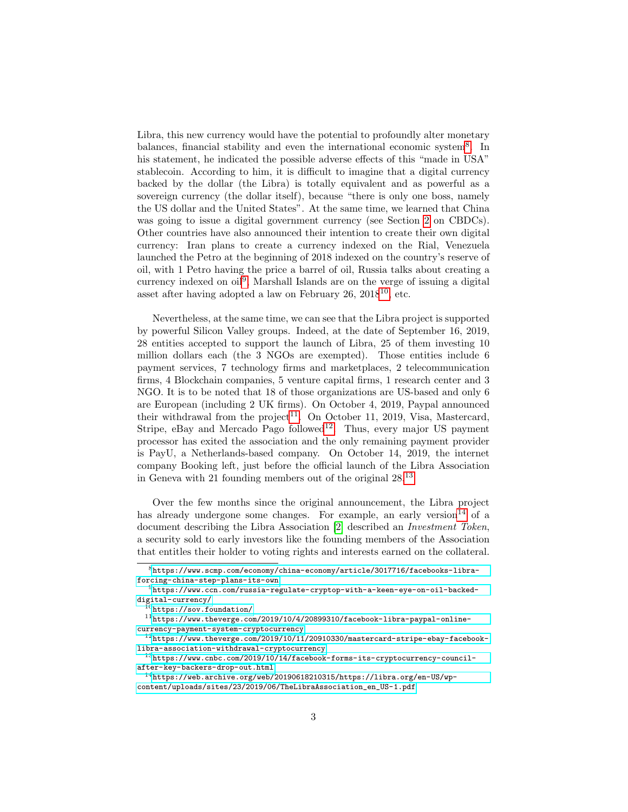Libra, this new currency would have the potential to profoundly alter monetary balances, financial stability and even the international economic system<sup>[8](#page-2-0)</sup>. In his statement, he indicated the possible adverse effects of this "made in USA" stablecoin. According to him, it is difficult to imagine that a digital currency backed by the dollar (the Libra) is totally equivalent and as powerful as a sovereign currency (the dollar itself), because "there is only one boss, namely the US dollar and the United States". At the same time, we learned that China was going to issue a digital government currency (see Section [2](#page-3-0) on CBDCs). Other countries have also announced their intention to create their own digital currency: Iran plans to create a currency indexed on the Rial, Venezuela launched the Petro at the beginning of 2018 indexed on the country's reserve of oil, with 1 Petro having the price a barrel of oil, Russia talks about creating a currency indexed on oil<sup>[9](#page-2-1)</sup>, Marshall Islands are on the verge of issuing a digital asset after having adopted a law on February  $26, 2018^{10}$  $26, 2018^{10}$  $26, 2018^{10}$ , etc.

Nevertheless, at the same time, we can see that the Libra project is supported by powerful Silicon Valley groups. Indeed, at the date of September 16, 2019, 28 entities accepted to support the launch of Libra, 25 of them investing 10 million dollars each (the 3 NGOs are exempted). Those entities include 6 payment services, 7 technology firms and marketplaces, 2 telecommunication firms, 4 Blockchain companies, 5 venture capital firms, 1 research center and 3 NGO. It is to be noted that 18 of those organizations are US-based and only 6 are European (including 2 UK firms). On October 4, 2019, Paypal announced their withdrawal from the project<sup>[11](#page-2-3)</sup>. On October 11, 2019, Visa, Mastercard, Stripe, eBay and Mercado Pago followed<sup>[12](#page-2-4)</sup>. Thus, every major US payment processor has exited the association and the only remaining payment provider is PayU, a Netherlands-based company. On October 14, 2019, the internet company Booking left, just before the official launch of the Libra Association in Geneva with 21 founding members out of the original 28.[13](#page-2-5)

Over the few months since the original announcement, the Libra project has already undergone some changes. For example, an early version  $14$  of a document describing the Libra Association [\[2\]](#page-31-0) described an Investment Token, a security sold to early investors like the founding members of the Association that entitles their holder to voting rights and interests earned on the collateral.

<span id="page-2-0"></span><sup>8</sup>[https://www.scmp.com/economy/china-economy/article/3017716/facebooks-libra](https://www.scmp.com/economy/china-economy/article/3017716/facebooks-libra-forcing-china-step-plans-its-own)[forcing-china-step-plans-its-own](https://www.scmp.com/economy/china-economy/article/3017716/facebooks-libra-forcing-china-step-plans-its-own)

<span id="page-2-1"></span> $^{9}$ [https://www.ccn.com/russia-regulate-cryptop-with-a-keen-eye-on-oil-backed](https://www.ccn.com/russia-regulate-cryptop-with-a-keen-eye-on-oil-backed-digital-currency/)[digital-currency/](https://www.ccn.com/russia-regulate-cryptop-with-a-keen-eye-on-oil-backed-digital-currency/)

<span id="page-2-3"></span><span id="page-2-2"></span> $10$ <https://sov.foundation/>

 $11$ [https://www.theverge.com/2019/10/4/20899310/facebook-libra-paypal-online](https://www.theverge.com/2019/10/4/20899310/facebook-libra-paypal-online-currency-payment-system-cryptocurrency)[currency-payment-system-cryptocurrency](https://www.theverge.com/2019/10/4/20899310/facebook-libra-paypal-online-currency-payment-system-cryptocurrency)

<span id="page-2-4"></span> $12$ [https://www.theverge.com/2019/10/11/20910330/mastercard-stripe-ebay-facebook](https://www.theverge.com/2019/10/11/20910330/mastercard-stripe-ebay-facebook-libra-association-withdrawal-cryptocurrency)[libra-association-withdrawal-cryptocurrency](https://www.theverge.com/2019/10/11/20910330/mastercard-stripe-ebay-facebook-libra-association-withdrawal-cryptocurrency)

<span id="page-2-5"></span> $^{13}$ [https://www.cnbc.com/2019/10/14/facebook-forms-its-cryptocurrency-council](https://www.cnbc.com/2019/10/14/facebook-forms-its-cryptocurrency-council-after-key-backers-drop-out.html)[after-key-backers-drop-out.html](https://www.cnbc.com/2019/10/14/facebook-forms-its-cryptocurrency-council-after-key-backers-drop-out.html)

<span id="page-2-6"></span> $^{14}$ [https://web.archive.org/web/20190618210315/https://libra.org/en-US/wp](https://web.archive.org/web/20190618210315/https://libra.org/en-US/wp-content/uploads/sites/23/2019/06/TheLibraAssociation_en_US-1.pdf)[content/uploads/sites/23/2019/06/TheLibraAssociation\\_en\\_US-1.pdf](https://web.archive.org/web/20190618210315/https://libra.org/en-US/wp-content/uploads/sites/23/2019/06/TheLibraAssociation_en_US-1.pdf)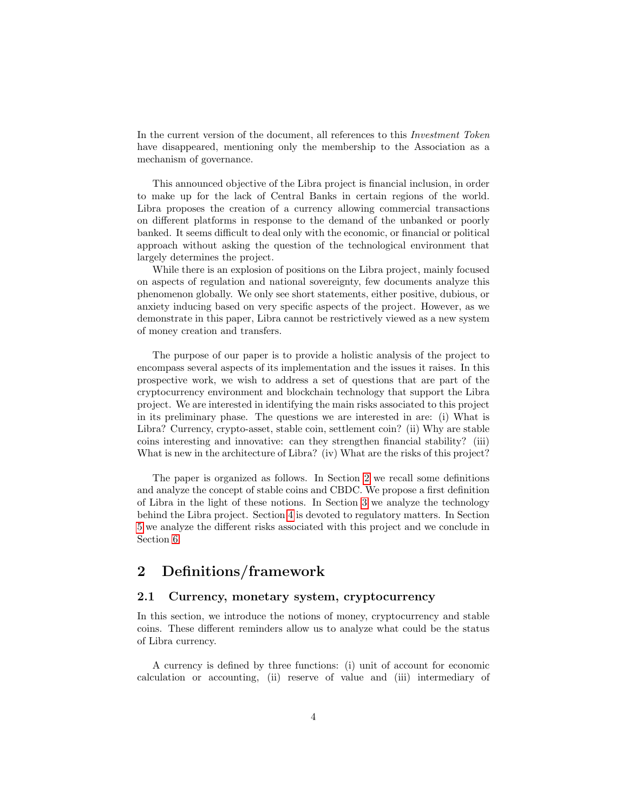In the current version of the document, all references to this Investment Token have disappeared, mentioning only the membership to the Association as a mechanism of governance.

This announced objective of the Libra project is financial inclusion, in order to make up for the lack of Central Banks in certain regions of the world. Libra proposes the creation of a currency allowing commercial transactions on different platforms in response to the demand of the unbanked or poorly banked. It seems difficult to deal only with the economic, or financial or political approach without asking the question of the technological environment that largely determines the project.

While there is an explosion of positions on the Libra project, mainly focused on aspects of regulation and national sovereignty, few documents analyze this phenomenon globally. We only see short statements, either positive, dubious, or anxiety inducing based on very specific aspects of the project. However, as we demonstrate in this paper, Libra cannot be restrictively viewed as a new system of money creation and transfers.

The purpose of our paper is to provide a holistic analysis of the project to encompass several aspects of its implementation and the issues it raises. In this prospective work, we wish to address a set of questions that are part of the cryptocurrency environment and blockchain technology that support the Libra project. We are interested in identifying the main risks associated to this project in its preliminary phase. The questions we are interested in are: (i) What is Libra? Currency, crypto-asset, stable coin, settlement coin? (ii) Why are stable coins interesting and innovative: can they strengthen financial stability? (iii) What is new in the architecture of Libra? (iv) What are the risks of this project?

The paper is organized as follows. In Section [2](#page-3-0) we recall some definitions and analyze the concept of stable coins and CBDC. We propose a first definition of Libra in the light of these notions. In Section [3](#page-10-0) we analyze the technology behind the Libra project. Section [4](#page-16-0) is devoted to regulatory matters. In Section [5](#page-22-0) we analyze the different risks associated with this project and we conclude in Section [6.](#page-28-0)

# <span id="page-3-0"></span>2 Definitions/framework

# 2.1 Currency, monetary system, cryptocurrency

In this section, we introduce the notions of money, cryptocurrency and stable coins. These different reminders allow us to analyze what could be the status of Libra currency.

A currency is defined by three functions: (i) unit of account for economic calculation or accounting, (ii) reserve of value and (iii) intermediary of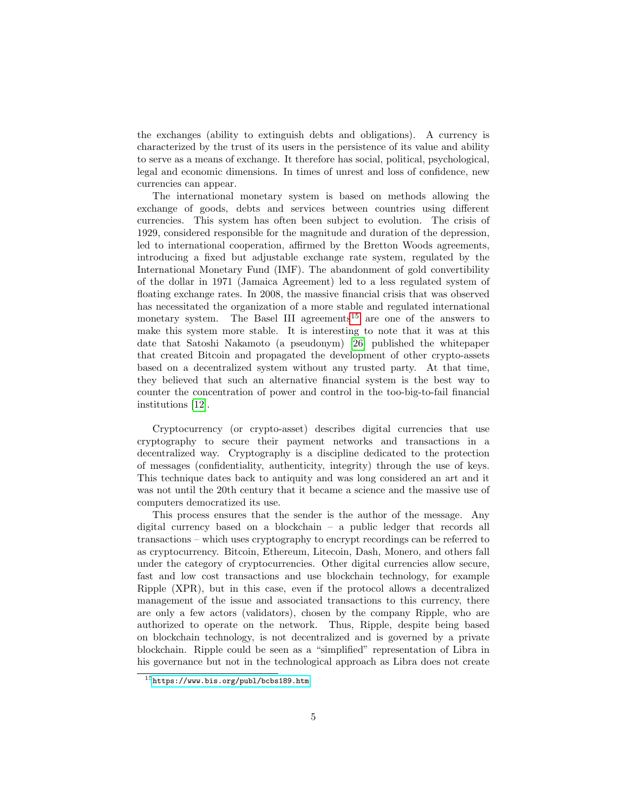the exchanges (ability to extinguish debts and obligations). A currency is characterized by the trust of its users in the persistence of its value and ability to serve as a means of exchange. It therefore has social, political, psychological, legal and economic dimensions. In times of unrest and loss of confidence, new currencies can appear.

The international monetary system is based on methods allowing the exchange of goods, debts and services between countries using different currencies. This system has often been subject to evolution. The crisis of 1929, considered responsible for the magnitude and duration of the depression, led to international cooperation, affirmed by the Bretton Woods agreements, introducing a fixed but adjustable exchange rate system, regulated by the International Monetary Fund (IMF). The abandonment of gold convertibility of the dollar in 1971 (Jamaica Agreement) led to a less regulated system of floating exchange rates. In 2008, the massive financial crisis that was observed has necessitated the organization of a more stable and regulated international monetary system. The Basel III agreements<sup>[15](#page-4-0)</sup> are one of the answers to make this system more stable. It is interesting to note that it was at this date that Satoshi Nakamoto (a pseudonym) [\[26\]](#page-32-0) published the whitepaper that created Bitcoin and propagated the development of other crypto-assets based on a decentralized system without any trusted party. At that time, they believed that such an alternative financial system is the best way to counter the concentration of power and control in the too-big-to-fail financial institutions [\[12\]](#page-31-1).

Cryptocurrency (or crypto-asset) describes digital currencies that use cryptography to secure their payment networks and transactions in a decentralized way. Cryptography is a discipline dedicated to the protection of messages (confidentiality, authenticity, integrity) through the use of keys. This technique dates back to antiquity and was long considered an art and it was not until the 20th century that it became a science and the massive use of computers democratized its use.

This process ensures that the sender is the author of the message. Any digital currency based on a blockchain – a public ledger that records all transactions – which uses cryptography to encrypt recordings can be referred to as cryptocurrency. Bitcoin, Ethereum, Litecoin, Dash, Monero, and others fall under the category of cryptocurrencies. Other digital currencies allow secure, fast and low cost transactions and use blockchain technology, for example Ripple (XPR), but in this case, even if the protocol allows a decentralized management of the issue and associated transactions to this currency, there are only a few actors (validators), chosen by the company Ripple, who are authorized to operate on the network. Thus, Ripple, despite being based on blockchain technology, is not decentralized and is governed by a private blockchain. Ripple could be seen as a "simplified" representation of Libra in his governance but not in the technological approach as Libra does not create

<span id="page-4-0"></span><sup>15</sup><https://www.bis.org/publ/bcbs189.htm>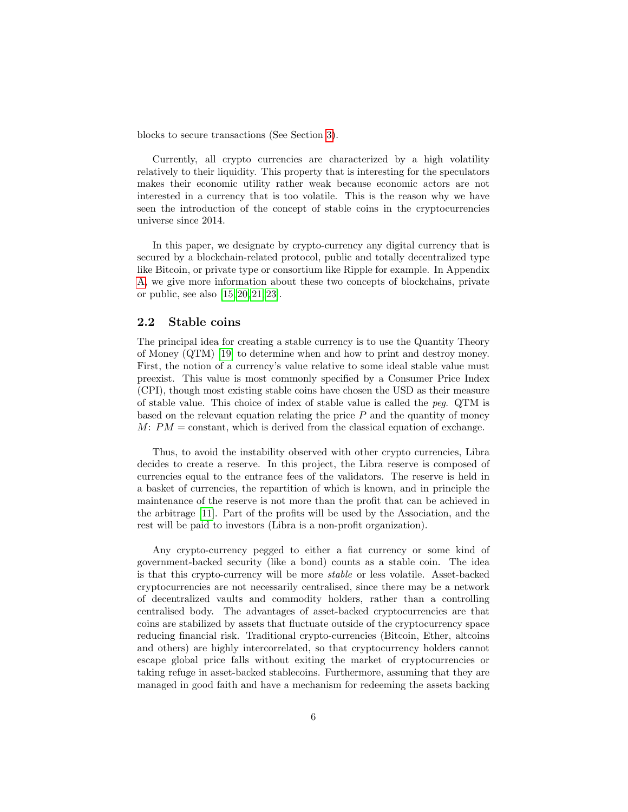blocks to secure transactions (See Section [3\)](#page-10-0).

Currently, all crypto currencies are characterized by a high volatility relatively to their liquidity. This property that is interesting for the speculators makes their economic utility rather weak because economic actors are not interested in a currency that is too volatile. This is the reason why we have seen the introduction of the concept of stable coins in the cryptocurrencies universe since 2014.

In this paper, we designate by crypto-currency any digital currency that is secured by a blockchain-related protocol, public and totally decentralized type like Bitcoin, or private type or consortium like Ripple for example. In Appendix [A,](#page-33-0) we give more information about these two concepts of blockchains, private or public, see also [\[15,](#page-31-2) [20,](#page-32-1) [21,](#page-32-2) [23\]](#page-32-3).

### 2.2 Stable coins

The principal idea for creating a stable currency is to use the Quantity Theory of Money (QTM) [\[19\]](#page-32-4) to determine when and how to print and destroy money. First, the notion of a currency's value relative to some ideal stable value must preexist. This value is most commonly specified by a Consumer Price Index (CPI), though most existing stable coins have chosen the USD as their measure of stable value. This choice of index of stable value is called the peg. QTM is based on the relevant equation relating the price  $P$  and the quantity of money  $M: PM = constant$ , which is derived from the classical equation of exchange.

Thus, to avoid the instability observed with other crypto currencies, Libra decides to create a reserve. In this project, the Libra reserve is composed of currencies equal to the entrance fees of the validators. The reserve is held in a basket of currencies, the repartition of which is known, and in principle the maintenance of the reserve is not more than the profit that can be achieved in the arbitrage [\[11\]](#page-31-3). Part of the profits will be used by the Association, and the rest will be paid to investors (Libra is a non-profit organization).

Any crypto-currency pegged to either a fiat currency or some kind of government-backed security (like a bond) counts as a stable coin. The idea is that this crypto-currency will be more stable or less volatile. Asset-backed cryptocurrencies are not necessarily centralised, since there may be a network of decentralized vaults and commodity holders, rather than a controlling centralised body. The advantages of asset-backed cryptocurrencies are that coins are stabilized by assets that fluctuate outside of the cryptocurrency space reducing financial risk. Traditional crypto-currencies (Bitcoin, Ether, altcoins and others) are highly intercorrelated, so that cryptocurrency holders cannot escape global price falls without exiting the market of cryptocurrencies or taking refuge in asset-backed stablecoins. Furthermore, assuming that they are managed in good faith and have a mechanism for redeeming the assets backing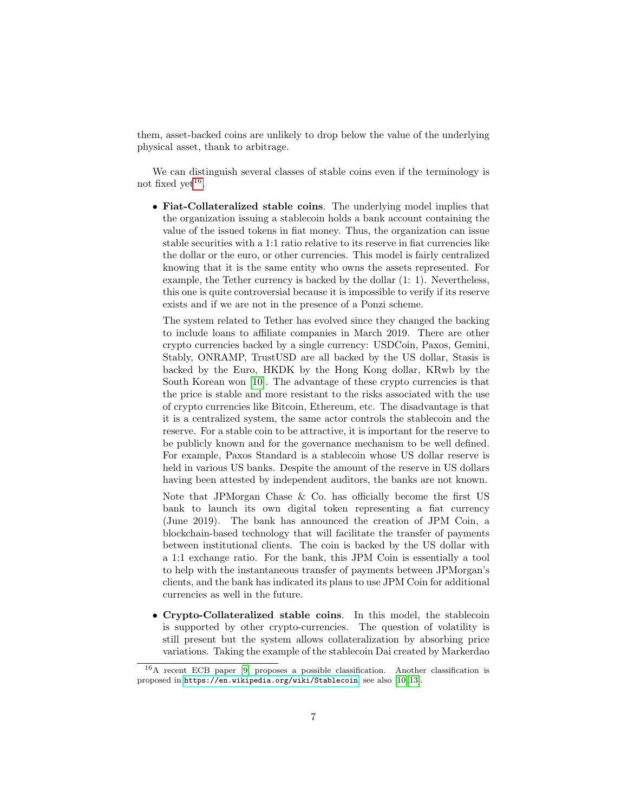them, asset-backed coins are unlikely to drop below the value of the underlying physical asset, thank to arbitrage.

We can distinguish several classes of stable coins even if the terminology is not fixed yet<sup>[16](#page-6-0)</sup>.

• Fiat-Collateralized stable coins. The underlying model implies that the organization issuing a stablecoin holds a bank account containing the value of the issued tokens in fiat money. Thus, the organization can issue stable securities with a 1:1 ratio relative to its reserve in fiat currencies like the dollar or the euro, or other currencies. This model is fairly centralized knowing that it is the same entity who owns the assets represented. For example, the Tether currency is backed by the dollar (1: 1). Nevertheless, this one is quite controversial because it is impossible to verify if its reserve exists and if we are not in the presence of a Ponzi scheme.

The system related to Tether has evolved since they changed the backing to include loans to affiliate companies in March 2019. There are other crypto currencies backed by a single currency: USDCoin, Paxos, Gemini, Stably, ONRAMP, TrustUSD are all backed by the US dollar, Stasis is backed by the Euro, HKDK by the Hong Kong dollar, KRwb by the South Korean won [\[10\]](#page-31-4). The advantage of these crypto currencies is that the price is stable and more resistant to the risks associated with the use of crypto currencies like Bitcoin, Ethereum, etc. The disadvantage is that it is a centralized system, the same actor controls the stablecoin and the reserve. For a stable coin to be attractive, it is important for the reserve to be publicly known and for the governance mechanism to be well defined. For example, Paxos Standard is a stablecoin whose US dollar reserve is held in various US banks. Despite the amount of the reserve in US dollars having been attested by independent auditors, the banks are not known.

Note that JPMorgan Chase & Co. has officially become the first US bank to launch its own digital token representing a fiat currency (June 2019). The bank has announced the creation of JPM Coin, a blockchain-based technology that will facilitate the transfer of payments between institutional clients. The coin is backed by the US dollar with a 1:1 exchange ratio. For the bank, this JPM Coin is essentially a tool to help with the instantaneous transfer of payments between JPMorgan's clients, and the bank has indicated its plans to use JPM Coin for additional currencies as well in the future.

• Crypto-Collateralized stable coins. In this model, the stablecoin is supported by other crypto-currencies. The question of volatility is still present but the system allows collateralization by absorbing price variations. Taking the example of the stablecoin Dai created by Markerdao

<span id="page-6-0"></span><sup>16</sup>A recent ECB paper [\[9\]](#page-31-5) proposes a possible classification. Another classification is proposed in <https://en.wikipedia.org/wiki/Stablecoin>, see also [\[10,](#page-31-4) [13\]](#page-31-6).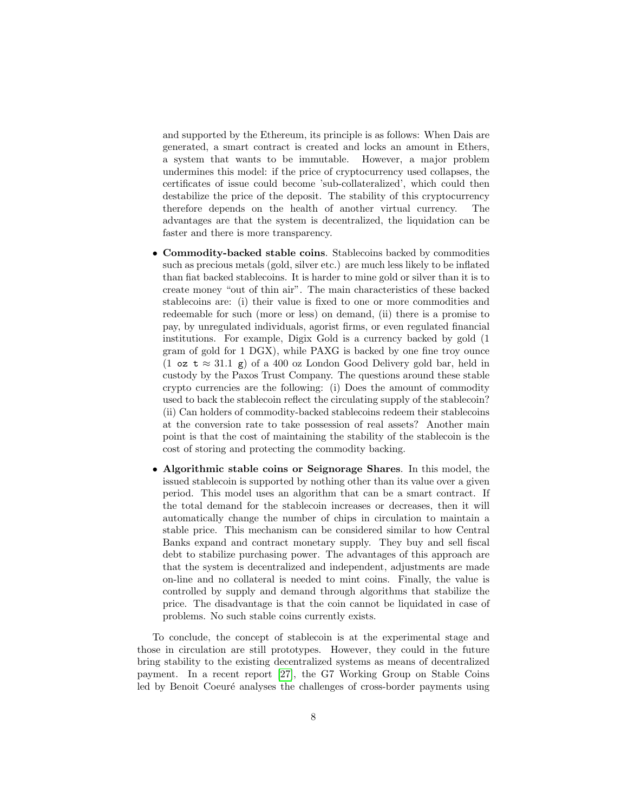and supported by the Ethereum, its principle is as follows: When Dais are generated, a smart contract is created and locks an amount in Ethers, a system that wants to be immutable. However, a major problem undermines this model: if the price of cryptocurrency used collapses, the certificates of issue could become 'sub-collateralized', which could then destabilize the price of the deposit. The stability of this cryptocurrency therefore depends on the health of another virtual currency. The advantages are that the system is decentralized, the liquidation can be faster and there is more transparency.

- Commodity-backed stable coins. Stablecoins backed by commodities such as precious metals (gold, silver etc.) are much less likely to be inflated than fiat backed stablecoins. It is harder to mine gold or silver than it is to create money "out of thin air". The main characteristics of these backed stablecoins are: (i) their value is fixed to one or more commodities and redeemable for such (more or less) on demand, (ii) there is a promise to pay, by unregulated individuals, agorist firms, or even regulated financial institutions. For example, Digix Gold is a currency backed by gold (1 gram of gold for 1 DGX), while PAXG is backed by one fine troy ounce (1 oz t  $\approx$  31.1 g) of a 400 oz London Good Delivery gold bar, held in custody by the Paxos Trust Company. The questions around these stable crypto currencies are the following: (i) Does the amount of commodity used to back the stablecoin reflect the circulating supply of the stablecoin? (ii) Can holders of commodity-backed stablecoins redeem their stablecoins at the conversion rate to take possession of real assets? Another main point is that the cost of maintaining the stability of the stablecoin is the cost of storing and protecting the commodity backing.
- Algorithmic stable coins or Seignorage Shares. In this model, the issued stablecoin is supported by nothing other than its value over a given period. This model uses an algorithm that can be a smart contract. If the total demand for the stablecoin increases or decreases, then it will automatically change the number of chips in circulation to maintain a stable price. This mechanism can be considered similar to how Central Banks expand and contract monetary supply. They buy and sell fiscal debt to stabilize purchasing power. The advantages of this approach are that the system is decentralized and independent, adjustments are made on-line and no collateral is needed to mint coins. Finally, the value is controlled by supply and demand through algorithms that stabilize the price. The disadvantage is that the coin cannot be liquidated in case of problems. No such stable coins currently exists.

To conclude, the concept of stablecoin is at the experimental stage and those in circulation are still prototypes. However, they could in the future bring stability to the existing decentralized systems as means of decentralized payment. In a recent report [\[27\]](#page-32-5), the G7 Working Group on Stable Coins led by Benoit Coeuré analyses the challenges of cross-border payments using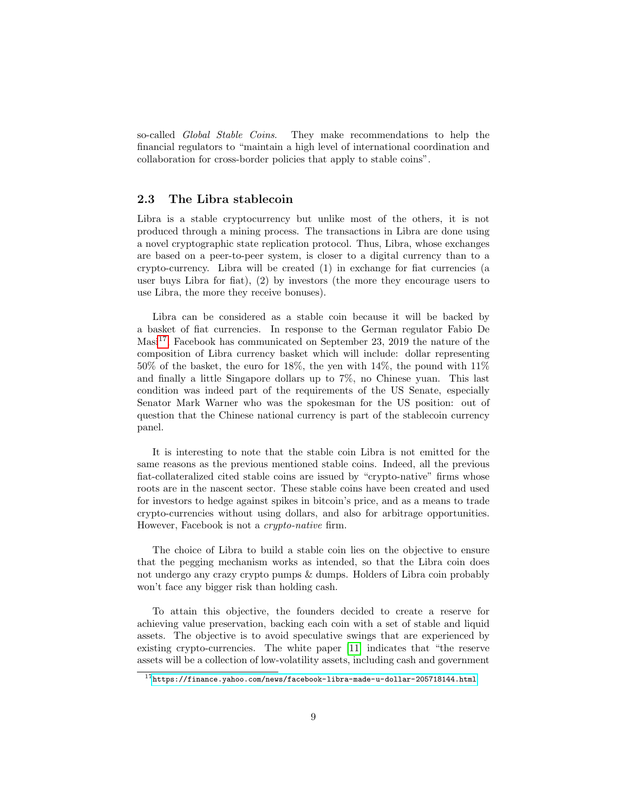so-called *Global Stable Coins*. They make recommendations to help the financial regulators to "maintain a high level of international coordination and collaboration for cross-border policies that apply to stable coins".

# 2.3 The Libra stablecoin

Libra is a stable cryptocurrency but unlike most of the others, it is not produced through a mining process. The transactions in Libra are done using a novel cryptographic state replication protocol. Thus, Libra, whose exchanges are based on a peer-to-peer system, is closer to a digital currency than to a crypto-currency. Libra will be created  $(1)$  in exchange for fiat currencies (a user buys Libra for fiat), (2) by investors (the more they encourage users to use Libra, the more they receive bonuses).

Libra can be considered as a stable coin because it will be backed by a basket of fiat currencies. In response to the German regulator Fabio De Masi<sup>[17](#page-8-0)</sup>, Facebook has communicated on September 23, 2019 the nature of the composition of Libra currency basket which will include: dollar representing 50% of the basket, the euro for 18%, the yen with 14%, the pound with 11% and finally a little Singapore dollars up to 7%, no Chinese yuan. This last condition was indeed part of the requirements of the US Senate, especially Senator Mark Warner who was the spokesman for the US position: out of question that the Chinese national currency is part of the stablecoin currency panel.

It is interesting to note that the stable coin Libra is not emitted for the same reasons as the previous mentioned stable coins. Indeed, all the previous fiat-collateralized cited stable coins are issued by "crypto-native" firms whose roots are in the nascent sector. These stable coins have been created and used for investors to hedge against spikes in bitcoin's price, and as a means to trade crypto-currencies without using dollars, and also for arbitrage opportunities. However, Facebook is not a crypto-native firm.

The choice of Libra to build a stable coin lies on the objective to ensure that the pegging mechanism works as intended, so that the Libra coin does not undergo any crazy crypto pumps & dumps. Holders of Libra coin probably won't face any bigger risk than holding cash.

To attain this objective, the founders decided to create a reserve for achieving value preservation, backing each coin with a set of stable and liquid assets. The objective is to avoid speculative swings that are experienced by existing crypto-currencies. The white paper [\[11\]](#page-31-3) indicates that "the reserve assets will be a collection of low-volatility assets, including cash and government

<span id="page-8-0"></span><sup>17</sup><https://finance.yahoo.com/news/facebook-libra-made-u-dollar-205718144.html>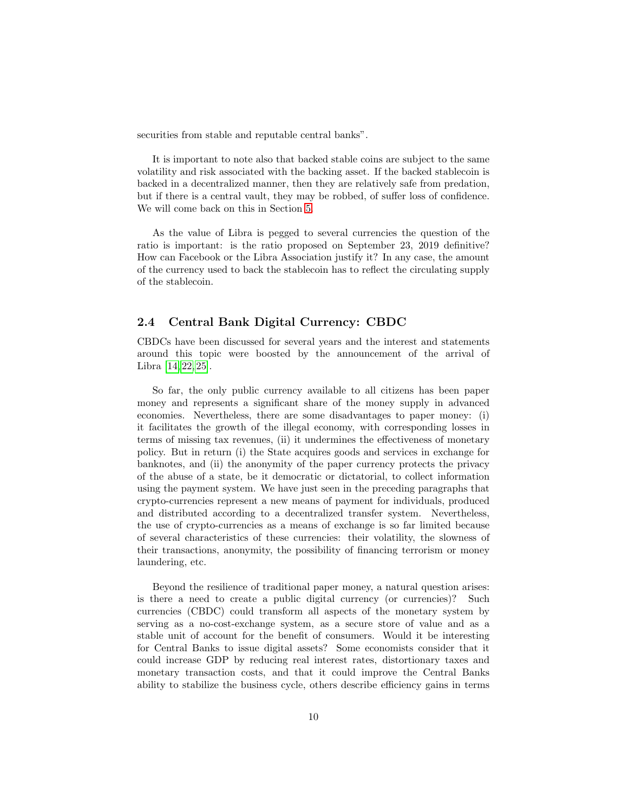securities from stable and reputable central banks".

It is important to note also that backed stable coins are subject to the same volatility and risk associated with the backing asset. If the backed stablecoin is backed in a decentralized manner, then they are relatively safe from predation, but if there is a central vault, they may be robbed, of suffer loss of confidence. We will come back on this in Section [5.](#page-22-0)

As the value of Libra is pegged to several currencies the question of the ratio is important: is the ratio proposed on September 23, 2019 definitive? How can Facebook or the Libra Association justify it? In any case, the amount of the currency used to back the stablecoin has to reflect the circulating supply of the stablecoin.

# 2.4 Central Bank Digital Currency: CBDC

CBDCs have been discussed for several years and the interest and statements around this topic were boosted by the announcement of the arrival of Libra [\[14,](#page-31-7) [22,](#page-32-6) [25\]](#page-32-7).

So far, the only public currency available to all citizens has been paper money and represents a significant share of the money supply in advanced economies. Nevertheless, there are some disadvantages to paper money: (i) it facilitates the growth of the illegal economy, with corresponding losses in terms of missing tax revenues, (ii) it undermines the effectiveness of monetary policy. But in return (i) the State acquires goods and services in exchange for banknotes, and (ii) the anonymity of the paper currency protects the privacy of the abuse of a state, be it democratic or dictatorial, to collect information using the payment system. We have just seen in the preceding paragraphs that crypto-currencies represent a new means of payment for individuals, produced and distributed according to a decentralized transfer system. Nevertheless, the use of crypto-currencies as a means of exchange is so far limited because of several characteristics of these currencies: their volatility, the slowness of their transactions, anonymity, the possibility of financing terrorism or money laundering, etc.

Beyond the resilience of traditional paper money, a natural question arises: is there a need to create a public digital currency (or currencies)? Such currencies (CBDC) could transform all aspects of the monetary system by serving as a no-cost-exchange system, as a secure store of value and as a stable unit of account for the benefit of consumers. Would it be interesting for Central Banks to issue digital assets? Some economists consider that it could increase GDP by reducing real interest rates, distortionary taxes and monetary transaction costs, and that it could improve the Central Banks ability to stabilize the business cycle, others describe efficiency gains in terms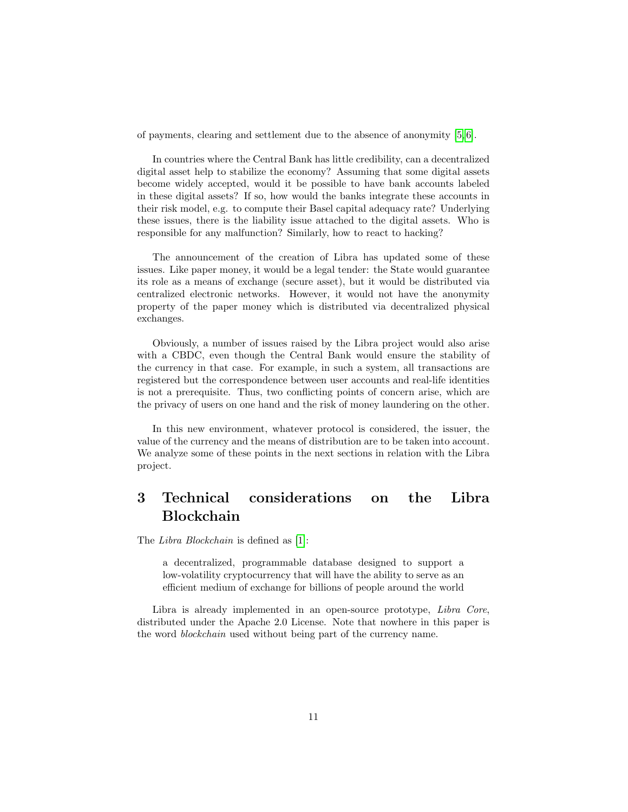of payments, clearing and settlement due to the absence of anonymity [\[5,](#page-31-8) [6\]](#page-31-9).

In countries where the Central Bank has little credibility, can a decentralized digital asset help to stabilize the economy? Assuming that some digital assets become widely accepted, would it be possible to have bank accounts labeled in these digital assets? If so, how would the banks integrate these accounts in their risk model, e.g. to compute their Basel capital adequacy rate? Underlying these issues, there is the liability issue attached to the digital assets. Who is responsible for any malfunction? Similarly, how to react to hacking?

The announcement of the creation of Libra has updated some of these issues. Like paper money, it would be a legal tender: the State would guarantee its role as a means of exchange (secure asset), but it would be distributed via centralized electronic networks. However, it would not have the anonymity property of the paper money which is distributed via decentralized physical exchanges.

Obviously, a number of issues raised by the Libra project would also arise with a CBDC, even though the Central Bank would ensure the stability of the currency in that case. For example, in such a system, all transactions are registered but the correspondence between user accounts and real-life identities is not a prerequisite. Thus, two conflicting points of concern arise, which are the privacy of users on one hand and the risk of money laundering on the other.

In this new environment, whatever protocol is considered, the issuer, the value of the currency and the means of distribution are to be taken into account. We analyze some of these points in the next sections in relation with the Libra project.

# <span id="page-10-0"></span>3 Technical considerations on the Libra Blockchain

The Libra Blockchain is defined as [\[1\]](#page-31-10):

a decentralized, programmable database designed to support a low-volatility cryptocurrency that will have the ability to serve as an efficient medium of exchange for billions of people around the world

Libra is already implemented in an open-source prototype, Libra Core, distributed under the Apache 2.0 License. Note that nowhere in this paper is the word blockchain used without being part of the currency name.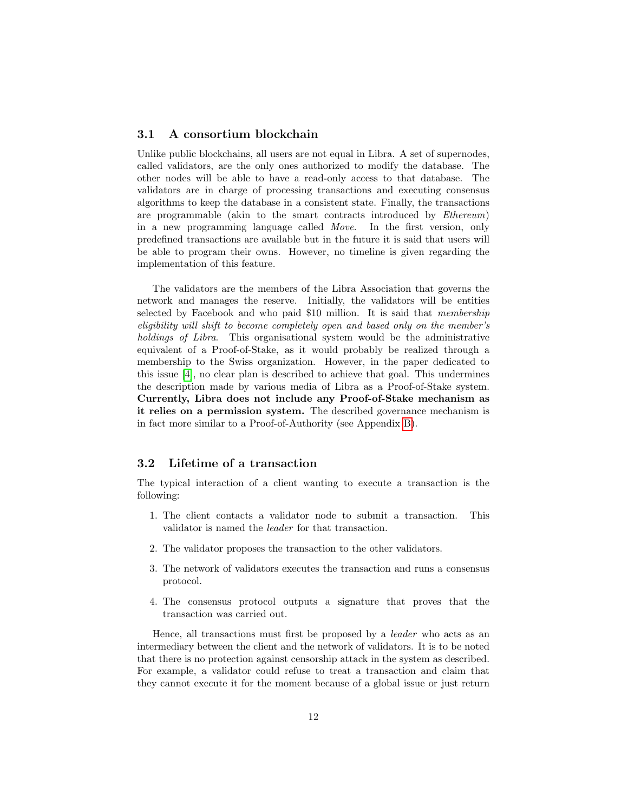### 3.1 A consortium blockchain

Unlike public blockchains, all users are not equal in Libra. A set of supernodes, called validators, are the only ones authorized to modify the database. The other nodes will be able to have a read-only access to that database. The validators are in charge of processing transactions and executing consensus algorithms to keep the database in a consistent state. Finally, the transactions are programmable (akin to the smart contracts introduced by Ethereum) in a new programming language called Move. In the first version, only predefined transactions are available but in the future it is said that users will be able to program their owns. However, no timeline is given regarding the implementation of this feature.

The validators are the members of the Libra Association that governs the network and manages the reserve. Initially, the validators will be entities selected by Facebook and who paid \$10 million. It is said that membership eligibility will shift to become completely open and based only on the member's holdings of Libra. This organisational system would be the administrative equivalent of a Proof-of-Stake, as it would probably be realized through a membership to the Swiss organization. However, in the paper dedicated to this issue [\[4\]](#page-31-11), no clear plan is described to achieve that goal. This undermines the description made by various media of Libra as a Proof-of-Stake system. Currently, Libra does not include any Proof-of-Stake mechanism as it relies on a permission system. The described governance mechanism is in fact more similar to a Proof-of-Authority (see Appendix [B\)](#page-33-1).

## 3.2 Lifetime of a transaction

The typical interaction of a client wanting to execute a transaction is the following:

- 1. The client contacts a validator node to submit a transaction. This validator is named the leader for that transaction.
- 2. The validator proposes the transaction to the other validators.
- 3. The network of validators executes the transaction and runs a consensus protocol.
- 4. The consensus protocol outputs a signature that proves that the transaction was carried out.

Hence, all transactions must first be proposed by a leader who acts as an intermediary between the client and the network of validators. It is to be noted that there is no protection against censorship attack in the system as described. For example, a validator could refuse to treat a transaction and claim that they cannot execute it for the moment because of a global issue or just return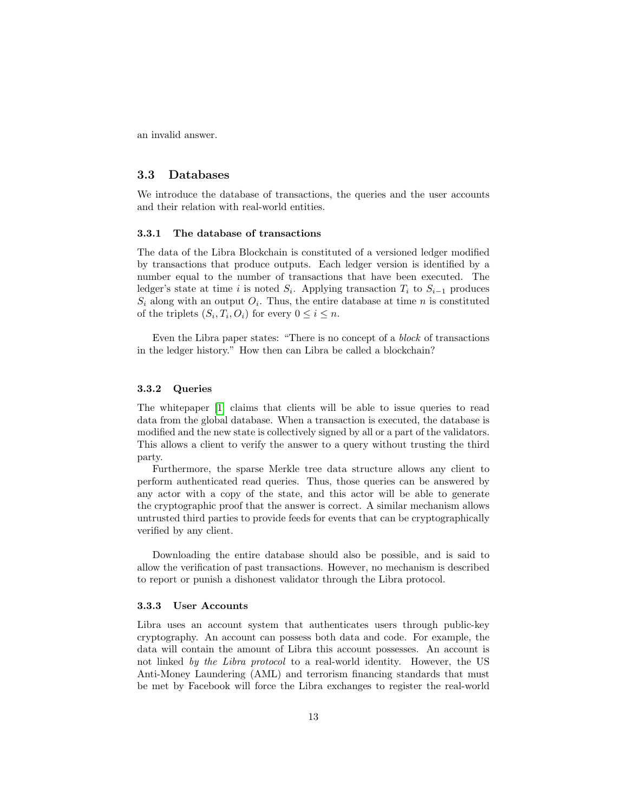an invalid answer.

### 3.3 Databases

We introduce the database of transactions, the queries and the user accounts and their relation with real-world entities.

#### 3.3.1 The database of transactions

The data of the Libra Blockchain is constituted of a versioned ledger modified by transactions that produce outputs. Each ledger version is identified by a number equal to the number of transactions that have been executed. The ledger's state at time i is noted  $S_i$ . Applying transaction  $T_i$  to  $S_{i-1}$  produces  $S_i$  along with an output  $O_i$ . Thus, the entire database at time n is constituted of the triplets  $(S_i, T_i, O_i)$  for every  $0 \le i \le n$ .

Even the Libra paper states: "There is no concept of a block of transactions in the ledger history." How then can Libra be called a blockchain?

#### 3.3.2 Queries

The whitepaper [\[1\]](#page-31-10) claims that clients will be able to issue queries to read data from the global database. When a transaction is executed, the database is modified and the new state is collectively signed by all or a part of the validators. This allows a client to verify the answer to a query without trusting the third party.

Furthermore, the sparse Merkle tree data structure allows any client to perform authenticated read queries. Thus, those queries can be answered by any actor with a copy of the state, and this actor will be able to generate the cryptographic proof that the answer is correct. A similar mechanism allows untrusted third parties to provide feeds for events that can be cryptographically verified by any client.

Downloading the entire database should also be possible, and is said to allow the verification of past transactions. However, no mechanism is described to report or punish a dishonest validator through the Libra protocol.

#### <span id="page-12-0"></span>3.3.3 User Accounts

Libra uses an account system that authenticates users through public-key cryptography. An account can possess both data and code. For example, the data will contain the amount of Libra this account possesses. An account is not linked by the Libra protocol to a real-world identity. However, the US Anti-Money Laundering (AML) and terrorism financing standards that must be met by Facebook will force the Libra exchanges to register the real-world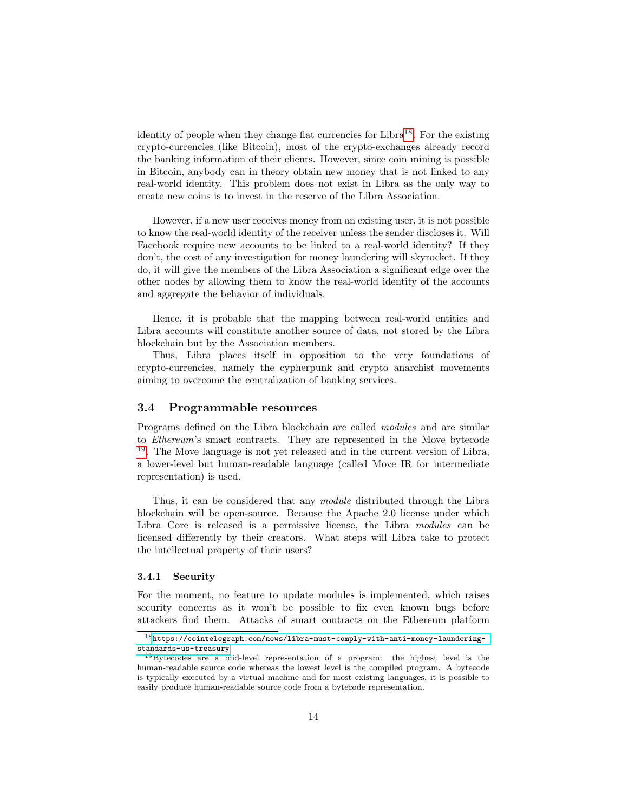identity of people when they change fiat currencies for Libra<sup>[18](#page-13-0)</sup>. For the existing crypto-currencies (like Bitcoin), most of the crypto-exchanges already record the banking information of their clients. However, since coin mining is possible in Bitcoin, anybody can in theory obtain new money that is not linked to any real-world identity. This problem does not exist in Libra as the only way to create new coins is to invest in the reserve of the Libra Association.

However, if a new user receives money from an existing user, it is not possible to know the real-world identity of the receiver unless the sender discloses it. Will Facebook require new accounts to be linked to a real-world identity? If they don't, the cost of any investigation for money laundering will skyrocket. If they do, it will give the members of the Libra Association a significant edge over the other nodes by allowing them to know the real-world identity of the accounts and aggregate the behavior of individuals.

Hence, it is probable that the mapping between real-world entities and Libra accounts will constitute another source of data, not stored by the Libra blockchain but by the Association members.

Thus, Libra places itself in opposition to the very foundations of crypto-currencies, namely the cypherpunk and crypto anarchist movements aiming to overcome the centralization of banking services.

#### 3.4 Programmable resources

Programs defined on the Libra blockchain are called modules and are similar to Ethereum's smart contracts. They are represented in the Move bytecode [19](#page-13-1). The Move language is not yet released and in the current version of Libra, a lower-level but human-readable language (called Move IR for intermediate representation) is used.

Thus, it can be considered that any module distributed through the Libra blockchain will be open-source. Because the Apache 2.0 license under which Libra Core is released is a permissive license, the Libra modules can be licensed differently by their creators. What steps will Libra take to protect the intellectual property of their users?

#### 3.4.1 Security

For the moment, no feature to update modules is implemented, which raises security concerns as it won't be possible to fix even known bugs before attackers find them. Attacks of smart contracts on the Ethereum platform

<span id="page-13-0"></span> $^{18}{\rm https://cointelograph.com/news/libra-must-comply-with-anti-money-laundering-}$ [standards-us-treasury](https://cointelegraph.com/news/libra-must-comply-with-anti-money-laundering-standards-us-treasury)

<span id="page-13-1"></span><sup>19</sup>Bytecodes are a mid-level representation of a program: the highest level is the human-readable source code whereas the lowest level is the compiled program. A bytecode is typically executed by a virtual machine and for most existing languages, it is possible to easily produce human-readable source code from a bytecode representation.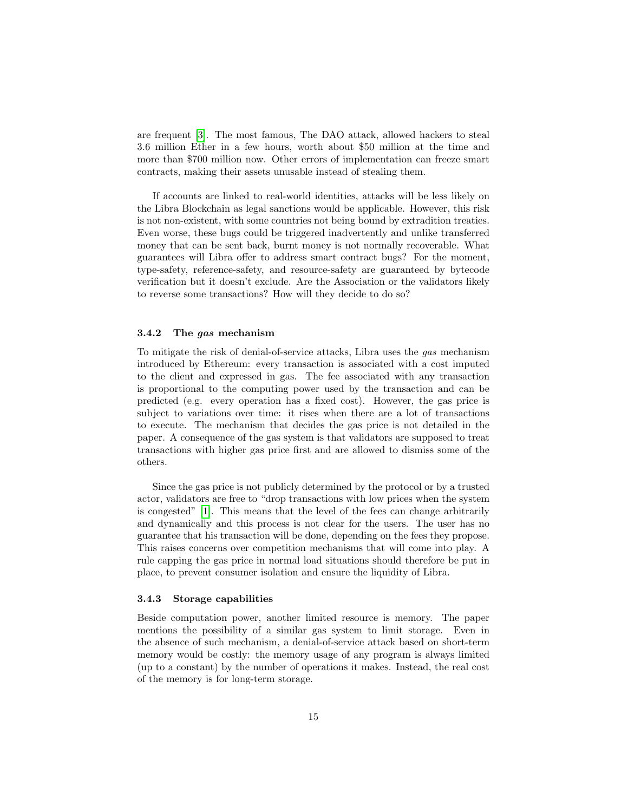are frequent [\[3\]](#page-31-12). The most famous, The DAO attack, allowed hackers to steal 3.6 million Ether in a few hours, worth about \$50 million at the time and more than \$700 million now. Other errors of implementation can freeze smart contracts, making their assets unusable instead of stealing them.

If accounts are linked to real-world identities, attacks will be less likely on the Libra Blockchain as legal sanctions would be applicable. However, this risk is not non-existent, with some countries not being bound by extradition treaties. Even worse, these bugs could be triggered inadvertently and unlike transferred money that can be sent back, burnt money is not normally recoverable. What guarantees will Libra offer to address smart contract bugs? For the moment, type-safety, reference-safety, and resource-safety are guaranteed by bytecode verification but it doesn't exclude. Are the Association or the validators likely to reverse some transactions? How will they decide to do so?

#### 3.4.2 The gas mechanism

To mitigate the risk of denial-of-service attacks, Libra uses the gas mechanism introduced by Ethereum: every transaction is associated with a cost imputed to the client and expressed in gas. The fee associated with any transaction is proportional to the computing power used by the transaction and can be predicted (e.g. every operation has a fixed cost). However, the gas price is subject to variations over time: it rises when there are a lot of transactions to execute. The mechanism that decides the gas price is not detailed in the paper. A consequence of the gas system is that validators are supposed to treat transactions with higher gas price first and are allowed to dismiss some of the others.

Since the gas price is not publicly determined by the protocol or by a trusted actor, validators are free to "drop transactions with low prices when the system is congested" [\[1\]](#page-31-10). This means that the level of the fees can change arbitrarily and dynamically and this process is not clear for the users. The user has no guarantee that his transaction will be done, depending on the fees they propose. This raises concerns over competition mechanisms that will come into play. A rule capping the gas price in normal load situations should therefore be put in place, to prevent consumer isolation and ensure the liquidity of Libra.

#### 3.4.3 Storage capabilities

Beside computation power, another limited resource is memory. The paper mentions the possibility of a similar gas system to limit storage. Even in the absence of such mechanism, a denial-of-service attack based on short-term memory would be costly: the memory usage of any program is always limited (up to a constant) by the number of operations it makes. Instead, the real cost of the memory is for long-term storage.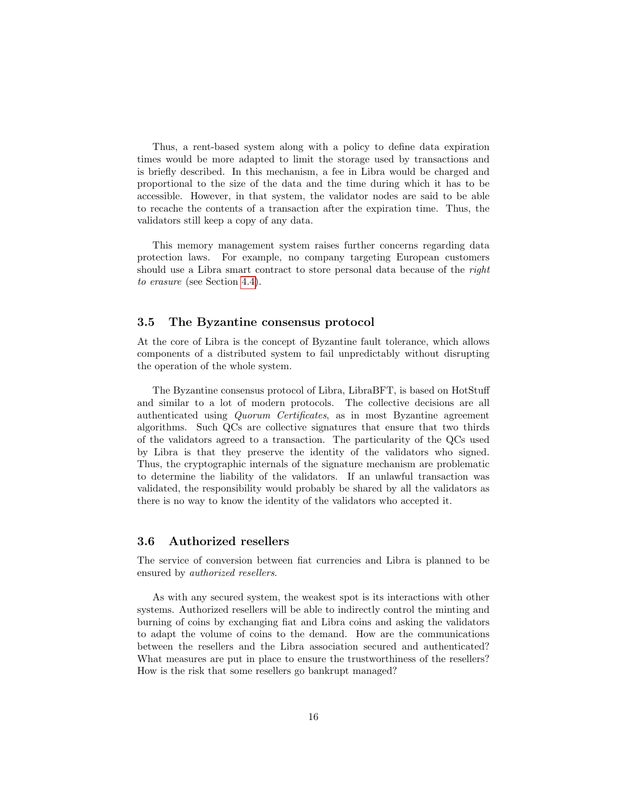Thus, a rent-based system along with a policy to define data expiration times would be more adapted to limit the storage used by transactions and is briefly described. In this mechanism, a fee in Libra would be charged and proportional to the size of the data and the time during which it has to be accessible. However, in that system, the validator nodes are said to be able to recache the contents of a transaction after the expiration time. Thus, the validators still keep a copy of any data.

This memory management system raises further concerns regarding data protection laws. For example, no company targeting European customers should use a Libra smart contract to store personal data because of the right to erasure (see Section [4.4\)](#page-21-0).

### 3.5 The Byzantine consensus protocol

At the core of Libra is the concept of Byzantine fault tolerance, which allows components of a distributed system to fail unpredictably without disrupting the operation of the whole system.

The Byzantine consensus protocol of Libra, LibraBFT, is based on HotStuff and similar to a lot of modern protocols. The collective decisions are all authenticated using Quorum Certificates, as in most Byzantine agreement algorithms. Such QCs are collective signatures that ensure that two thirds of the validators agreed to a transaction. The particularity of the QCs used by Libra is that they preserve the identity of the validators who signed. Thus, the cryptographic internals of the signature mechanism are problematic to determine the liability of the validators. If an unlawful transaction was validated, the responsibility would probably be shared by all the validators as there is no way to know the identity of the validators who accepted it.

### 3.6 Authorized resellers

The service of conversion between fiat currencies and Libra is planned to be ensured by authorized resellers.

As with any secured system, the weakest spot is its interactions with other systems. Authorized resellers will be able to indirectly control the minting and burning of coins by exchanging fiat and Libra coins and asking the validators to adapt the volume of coins to the demand. How are the communications between the resellers and the Libra association secured and authenticated? What measures are put in place to ensure the trustworthiness of the resellers? How is the risk that some resellers go bankrupt managed?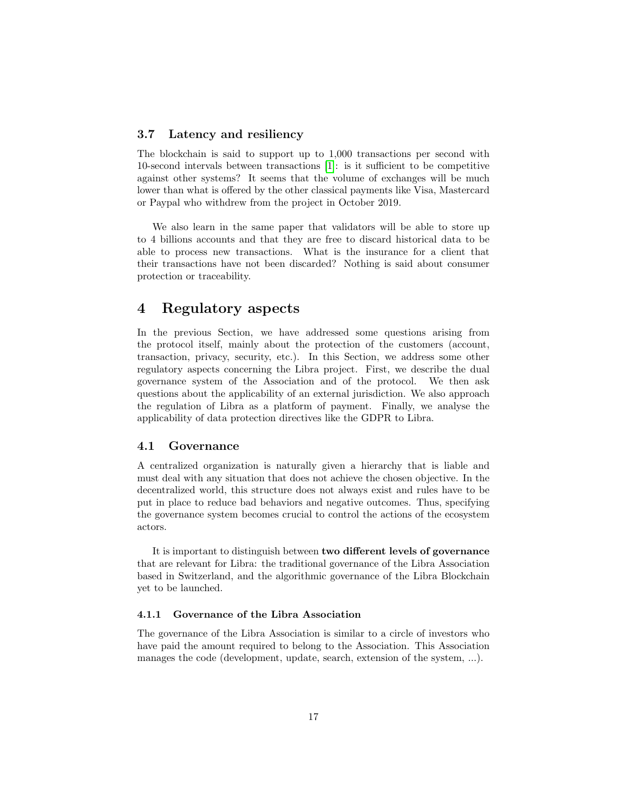### 3.7 Latency and resiliency

The blockchain is said to support up to 1,000 transactions per second with 10-second intervals between transactions [\[1\]](#page-31-10): is it sufficient to be competitive against other systems? It seems that the volume of exchanges will be much lower than what is offered by the other classical payments like Visa, Mastercard or Paypal who withdrew from the project in October 2019.

We also learn in the same paper that validators will be able to store up to 4 billions accounts and that they are free to discard historical data to be able to process new transactions. What is the insurance for a client that their transactions have not been discarded? Nothing is said about consumer protection or traceability.

# <span id="page-16-0"></span>4 Regulatory aspects

In the previous Section, we have addressed some questions arising from the protocol itself, mainly about the protection of the customers (account, transaction, privacy, security, etc.). In this Section, we address some other regulatory aspects concerning the Libra project. First, we describe the dual governance system of the Association and of the protocol. We then ask questions about the applicability of an external jurisdiction. We also approach the regulation of Libra as a platform of payment. Finally, we analyse the applicability of data protection directives like the GDPR to Libra.

#### 4.1 Governance

A centralized organization is naturally given a hierarchy that is liable and must deal with any situation that does not achieve the chosen objective. In the decentralized world, this structure does not always exist and rules have to be put in place to reduce bad behaviors and negative outcomes. Thus, specifying the governance system becomes crucial to control the actions of the ecosystem actors.

It is important to distinguish between two different levels of governance that are relevant for Libra: the traditional governance of the Libra Association based in Switzerland, and the algorithmic governance of the Libra Blockchain yet to be launched.

# 4.1.1 Governance of the Libra Association

The governance of the Libra Association is similar to a circle of investors who have paid the amount required to belong to the Association. This Association manages the code (development, update, search, extension of the system, ...).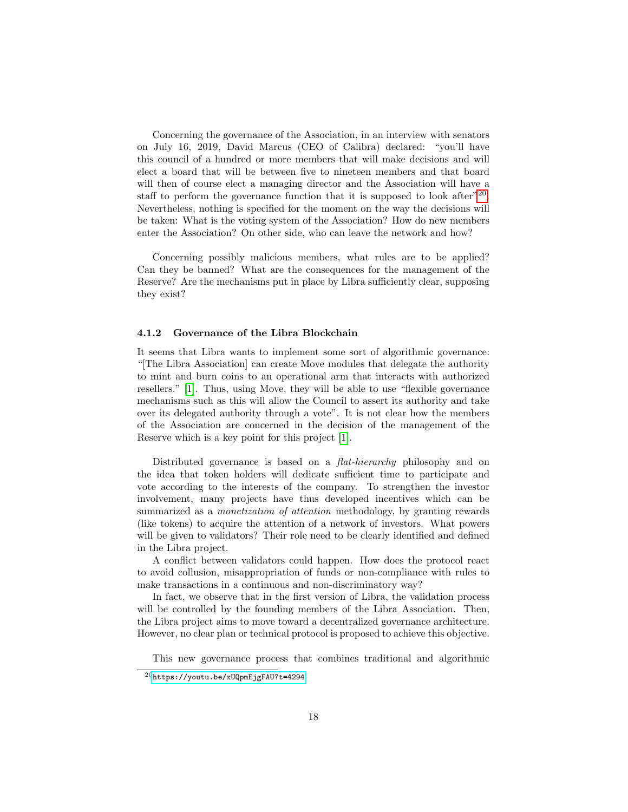Concerning the governance of the Association, in an interview with senators on July 16, 2019, David Marcus (CEO of Calibra) declared: "you'll have this council of a hundred or more members that will make decisions and will elect a board that will be between five to nineteen members and that board will then of course elect a managing director and the Association will have a staff to perform the governance function that it is supposed to look after<sup>"[20](#page-17-0)</sup>. Nevertheless, nothing is specified for the moment on the way the decisions will be taken: What is the voting system of the Association? How do new members enter the Association? On other side, who can leave the network and how?

Concerning possibly malicious members, what rules are to be applied? Can they be banned? What are the consequences for the management of the Reserve? Are the mechanisms put in place by Libra sufficiently clear, supposing they exist?

#### 4.1.2 Governance of the Libra Blockchain

It seems that Libra wants to implement some sort of algorithmic governance: "[The Libra Association] can create Move modules that delegate the authority to mint and burn coins to an operational arm that interacts with authorized resellers." [\[1\]](#page-31-10). Thus, using Move, they will be able to use "flexible governance mechanisms such as this will allow the Council to assert its authority and take over its delegated authority through a vote". It is not clear how the members of the Association are concerned in the decision of the management of the Reserve which is a key point for this project [\[1\]](#page-31-10).

Distributed governance is based on a *flat-hierarchy* philosophy and on the idea that token holders will dedicate sufficient time to participate and vote according to the interests of the company. To strengthen the investor involvement, many projects have thus developed incentives which can be summarized as a monetization of attention methodology, by granting rewards (like tokens) to acquire the attention of a network of investors. What powers will be given to validators? Their role need to be clearly identified and defined in the Libra project.

A conflict between validators could happen. How does the protocol react to avoid collusion, misappropriation of funds or non-compliance with rules to make transactions in a continuous and non-discriminatory way?

In fact, we observe that in the first version of Libra, the validation process will be controlled by the founding members of the Libra Association. Then, the Libra project aims to move toward a decentralized governance architecture. However, no clear plan or technical protocol is proposed to achieve this objective.

This new governance process that combines traditional and algorithmic

<span id="page-17-0"></span><sup>20</sup><https://youtu.be/xUQpmEjgFAU?t=4294>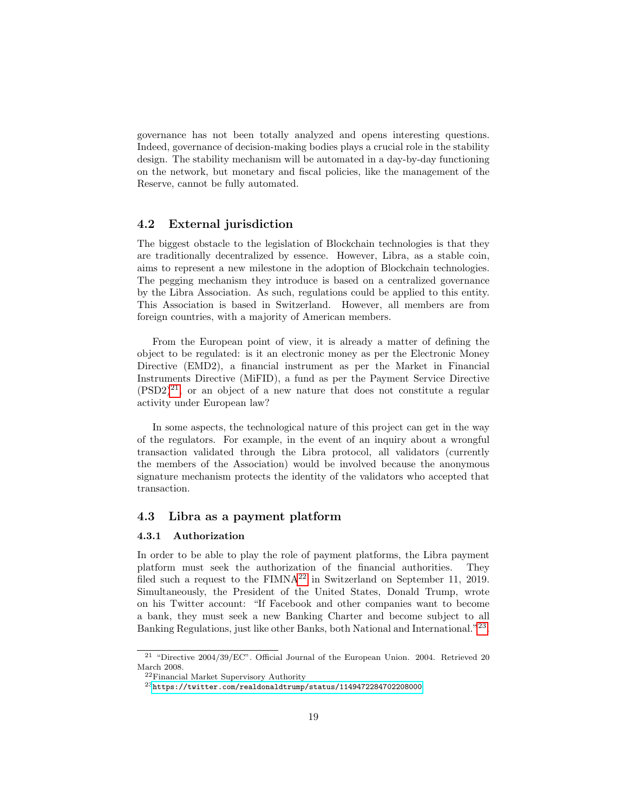governance has not been totally analyzed and opens interesting questions. Indeed, governance of decision-making bodies plays a crucial role in the stability design. The stability mechanism will be automated in a day-by-day functioning on the network, but monetary and fiscal policies, like the management of the Reserve, cannot be fully automated.

### 4.2 External jurisdiction

The biggest obstacle to the legislation of Blockchain technologies is that they are traditionally decentralized by essence. However, Libra, as a stable coin, aims to represent a new milestone in the adoption of Blockchain technologies. The pegging mechanism they introduce is based on a centralized governance by the Libra Association. As such, regulations could be applied to this entity. This Association is based in Switzerland. However, all members are from foreign countries, with a majority of American members.

From the European point of view, it is already a matter of defining the object to be regulated: is it an electronic money as per the Electronic Money Directive (EMD2), a financial instrument as per the Market in Financial Instruments Directive (MiFID), a fund as per the Payment Service Directive  $(PSD2)^{21}$  $(PSD2)^{21}$  $(PSD2)^{21}$ , or an object of a new nature that does not constitute a regular activity under European law?

In some aspects, the technological nature of this project can get in the way of the regulators. For example, in the event of an inquiry about a wrongful transaction validated through the Libra protocol, all validators (currently the members of the Association) would be involved because the anonymous signature mechanism protects the identity of the validators who accepted that transaction.

# 4.3 Libra as a payment platform

#### 4.3.1 Authorization

In order to be able to play the role of payment platforms, the Libra payment platform must seek the authorization of the financial authorities. They filed such a request to the  $FIMNA^{22}$  $FIMNA^{22}$  $FIMNA^{22}$  in Switzerland on September 11, 2019. Simultaneously, the President of the United States, Donald Trump, wrote on his Twitter account: "If Facebook and other companies want to become a bank, they must seek a new Banking Charter and become subject to all Banking Regulations, just like other Banks, both National and International."<sup>[23](#page-18-2)</sup>.

<span id="page-18-0"></span><sup>21</sup> "Directive 2004/39/EC". Official Journal of the European Union. 2004. Retrieved 20 March 2008.

<span id="page-18-1"></span><sup>22</sup>Financial Market Supervisory Authority

<span id="page-18-2"></span> $^{23}{\tt https://tvitter.com/realdonaldtrump/status/1149472284702208000}$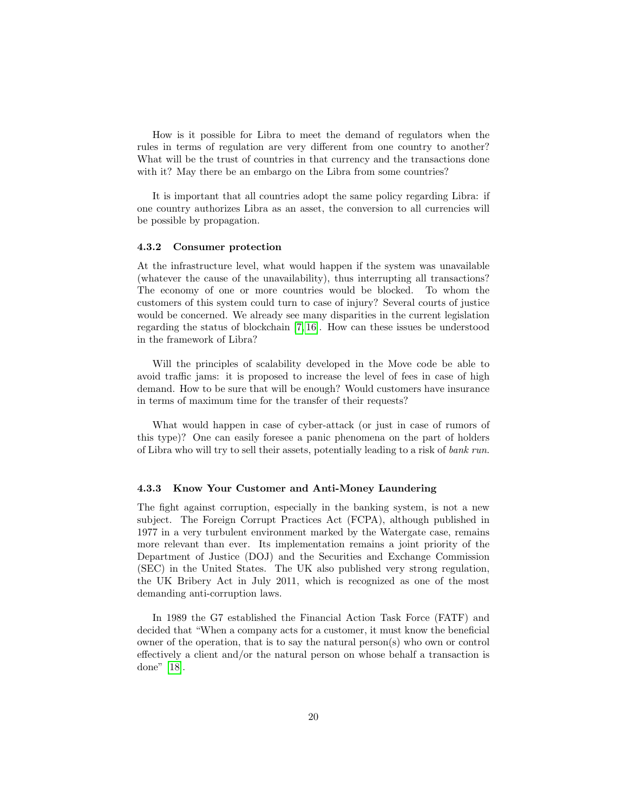How is it possible for Libra to meet the demand of regulators when the rules in terms of regulation are very different from one country to another? What will be the trust of countries in that currency and the transactions done with it? May there be an embargo on the Libra from some countries?

It is important that all countries adopt the same policy regarding Libra: if one country authorizes Libra as an asset, the conversion to all currencies will be possible by propagation.

#### 4.3.2 Consumer protection

At the infrastructure level, what would happen if the system was unavailable (whatever the cause of the unavailability), thus interrupting all transactions? The economy of one or more countries would be blocked. To whom the customers of this system could turn to case of injury? Several courts of justice would be concerned. We already see many disparities in the current legislation regarding the status of blockchain [\[7,](#page-31-13) [16\]](#page-32-8). How can these issues be understood in the framework of Libra?

Will the principles of scalability developed in the Move code be able to avoid traffic jams: it is proposed to increase the level of fees in case of high demand. How to be sure that will be enough? Would customers have insurance in terms of maximum time for the transfer of their requests?

What would happen in case of cyber-attack (or just in case of rumors of this type)? One can easily foresee a panic phenomena on the part of holders of Libra who will try to sell their assets, potentially leading to a risk of bank run.

#### 4.3.3 Know Your Customer and Anti-Money Laundering

The fight against corruption, especially in the banking system, is not a new subject. The Foreign Corrupt Practices Act (FCPA), although published in 1977 in a very turbulent environment marked by the Watergate case, remains more relevant than ever. Its implementation remains a joint priority of the Department of Justice (DOJ) and the Securities and Exchange Commission (SEC) in the United States. The UK also published very strong regulation, the UK Bribery Act in July 2011, which is recognized as one of the most demanding anti-corruption laws.

In 1989 the G7 established the Financial Action Task Force (FATF) and decided that "When a company acts for a customer, it must know the beneficial owner of the operation, that is to say the natural person(s) who own or control effectively a client and/or the natural person on whose behalf a transaction is done" [\[18\]](#page-32-9).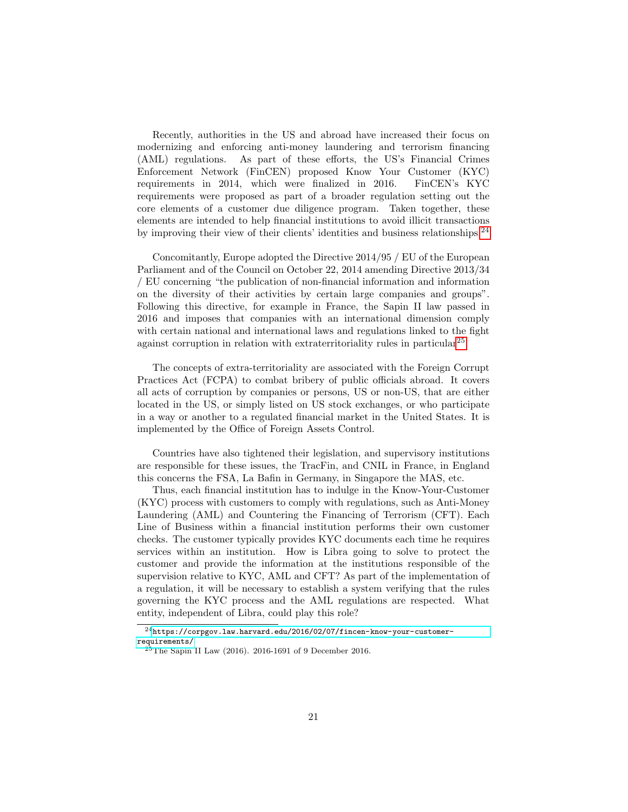Recently, authorities in the US and abroad have increased their focus on modernizing and enforcing anti-money laundering and terrorism financing (AML) regulations. As part of these efforts, the US's Financial Crimes Enforcement Network (FinCEN) proposed Know Your Customer (KYC) requirements in 2014, which were finalized in 2016. FinCEN's KYC requirements were proposed as part of a broader regulation setting out the core elements of a customer due diligence program. Taken together, these elements are intended to help financial institutions to avoid illicit transactions by improving their view of their clients' identities and business relationships.[24](#page-20-0)

Concomitantly, Europe adopted the Directive 2014/95 / EU of the European Parliament and of the Council on October 22, 2014 amending Directive 2013/34 / EU concerning "the publication of non-financial information and information on the diversity of their activities by certain large companies and groups". Following this directive, for example in France, the Sapin II law passed in 2016 and imposes that companies with an international dimension comply with certain national and international laws and regulations linked to the fight against corruption in relation with extraterritoriality rules in particular<sup>[25](#page-20-1)</sup>.

The concepts of extra-territoriality are associated with the Foreign Corrupt Practices Act (FCPA) to combat bribery of public officials abroad. It covers all acts of corruption by companies or persons, US or non-US, that are either located in the US, or simply listed on US stock exchanges, or who participate in a way or another to a regulated financial market in the United States. It is implemented by the Office of Foreign Assets Control.

Countries have also tightened their legislation, and supervisory institutions are responsible for these issues, the TracFin, and CNIL in France, in England this concerns the FSA, La Bafin in Germany, in Singapore the MAS, etc.

Thus, each financial institution has to indulge in the Know-Your-Customer (KYC) process with customers to comply with regulations, such as Anti-Money Laundering (AML) and Countering the Financing of Terrorism (CFT). Each Line of Business within a financial institution performs their own customer checks. The customer typically provides KYC documents each time he requires services within an institution. How is Libra going to solve to protect the customer and provide the information at the institutions responsible of the supervision relative to KYC, AML and CFT? As part of the implementation of a regulation, it will be necessary to establish a system verifying that the rules governing the KYC process and the AML regulations are respected. What entity, independent of Libra, could play this role?

<span id="page-20-0"></span> $^{24}\rm{https://corpgov.law.harvard.edu/2016/02/07/fincen-know-your-customer-}$ [requirements/](https://corpgov.law.harvard.edu/2016/02/07/fincen-know-your-customer-requirements/)

<span id="page-20-1"></span> $^{25}$ The Sapin II Law (2016). 2016-1691 of 9 December 2016.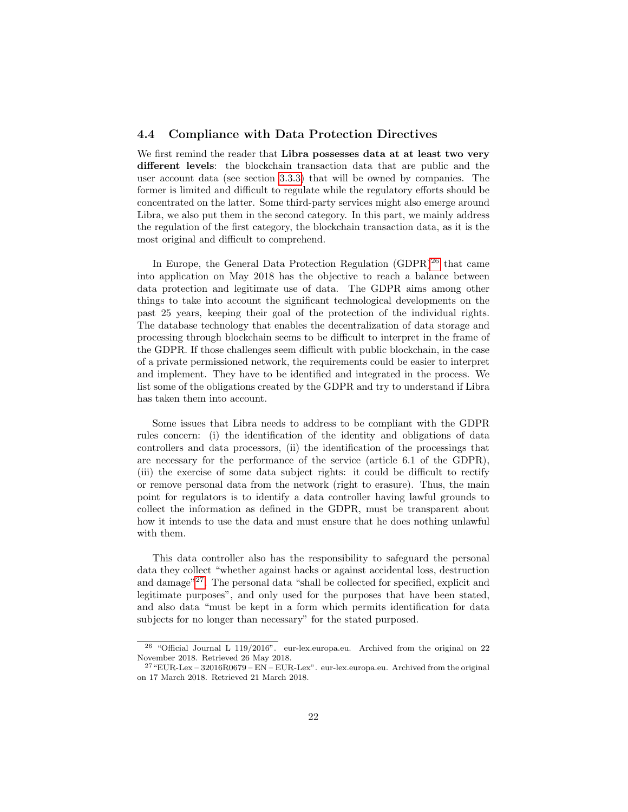### <span id="page-21-0"></span>4.4 Compliance with Data Protection Directives

We first remind the reader that Libra possesses data at at least two very different levels: the blockchain transaction data that are public and the user account data (see section [3.3.3\)](#page-12-0) that will be owned by companies. The former is limited and difficult to regulate while the regulatory efforts should be concentrated on the latter. Some third-party services might also emerge around Libra, we also put them in the second category. In this part, we mainly address the regulation of the first category, the blockchain transaction data, as it is the most original and difficult to comprehend.

In Europe, the General Data Protection Regulation  $(GDPR)^{26}$  $(GDPR)^{26}$  $(GDPR)^{26}$  that came into application on May 2018 has the objective to reach a balance between data protection and legitimate use of data. The GDPR aims among other things to take into account the significant technological developments on the past 25 years, keeping their goal of the protection of the individual rights. The database technology that enables the decentralization of data storage and processing through blockchain seems to be difficult to interpret in the frame of the GDPR. If those challenges seem difficult with public blockchain, in the case of a private permissioned network, the requirements could be easier to interpret and implement. They have to be identified and integrated in the process. We list some of the obligations created by the GDPR and try to understand if Libra has taken them into account.

Some issues that Libra needs to address to be compliant with the GDPR rules concern: (i) the identification of the identity and obligations of data controllers and data processors, (ii) the identification of the processings that are necessary for the performance of the service (article 6.1 of the GDPR), (iii) the exercise of some data subject rights: it could be difficult to rectify or remove personal data from the network (right to erasure). Thus, the main point for regulators is to identify a data controller having lawful grounds to collect the information as defined in the GDPR, must be transparent about how it intends to use the data and must ensure that he does nothing unlawful with them.

This data controller also has the responsibility to safeguard the personal data they collect "whether against hacks or against accidental loss, destruction and damage"<sup>[27](#page-21-2)</sup>. The personal data "shall be collected for specified, explicit and legitimate purposes", and only used for the purposes that have been stated, and also data "must be kept in a form which permits identification for data subjects for no longer than necessary" for the stated purposed.

<span id="page-21-1"></span><sup>26</sup> "Official Journal L 119/2016". eur-lex.europa.eu. Archived from the original on 22 November 2018. Retrieved 26 May 2018.

<span id="page-21-2"></span> $^{27}$  "EUR-Lex – 32016R0679 – EN – EUR-Lex". eur-lex.europa.eu. Archived from the original on 17 March 2018. Retrieved 21 March 2018.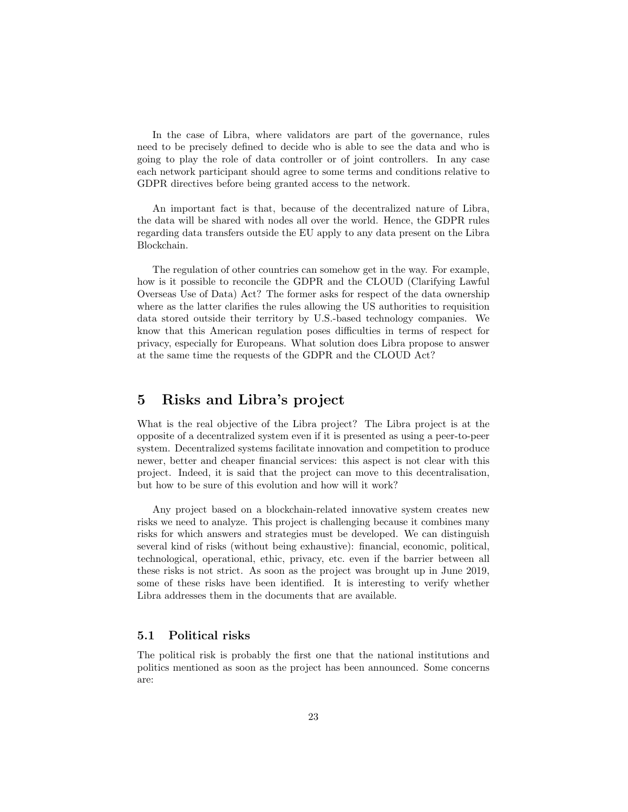In the case of Libra, where validators are part of the governance, rules need to be precisely defined to decide who is able to see the data and who is going to play the role of data controller or of joint controllers. In any case each network participant should agree to some terms and conditions relative to GDPR directives before being granted access to the network.

An important fact is that, because of the decentralized nature of Libra, the data will be shared with nodes all over the world. Hence, the GDPR rules regarding data transfers outside the EU apply to any data present on the Libra Blockchain.

The regulation of other countries can somehow get in the way. For example, how is it possible to reconcile the GDPR and the CLOUD (Clarifying Lawful Overseas Use of Data) Act? The former asks for respect of the data ownership where as the latter clarifies the rules allowing the US authorities to requisition data stored outside their territory by U.S.-based technology companies. We know that this American regulation poses difficulties in terms of respect for privacy, especially for Europeans. What solution does Libra propose to answer at the same time the requests of the GDPR and the CLOUD Act?

# <span id="page-22-0"></span>5 Risks and Libra's project

What is the real objective of the Libra project? The Libra project is at the opposite of a decentralized system even if it is presented as using a peer-to-peer system. Decentralized systems facilitate innovation and competition to produce newer, better and cheaper financial services: this aspect is not clear with this project. Indeed, it is said that the project can move to this decentralisation, but how to be sure of this evolution and how will it work?

Any project based on a blockchain-related innovative system creates new risks we need to analyze. This project is challenging because it combines many risks for which answers and strategies must be developed. We can distinguish several kind of risks (without being exhaustive): financial, economic, political, technological, operational, ethic, privacy, etc. even if the barrier between all these risks is not strict. As soon as the project was brought up in June 2019, some of these risks have been identified. It is interesting to verify whether Libra addresses them in the documents that are available.

# 5.1 Political risks

The political risk is probably the first one that the national institutions and politics mentioned as soon as the project has been announced. Some concerns are: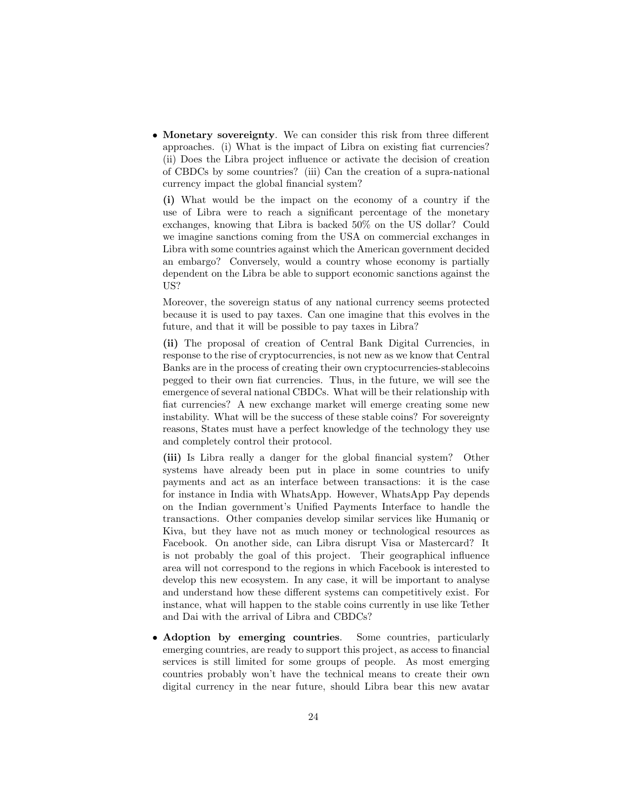• Monetary sovereignty. We can consider this risk from three different approaches. (i) What is the impact of Libra on existing fiat currencies? (ii) Does the Libra project influence or activate the decision of creation of CBDCs by some countries? (iii) Can the creation of a supra-national currency impact the global financial system?

(i) What would be the impact on the economy of a country if the use of Libra were to reach a significant percentage of the monetary exchanges, knowing that Libra is backed 50% on the US dollar? Could we imagine sanctions coming from the USA on commercial exchanges in Libra with some countries against which the American government decided an embargo? Conversely, would a country whose economy is partially dependent on the Libra be able to support economic sanctions against the US?

Moreover, the sovereign status of any national currency seems protected because it is used to pay taxes. Can one imagine that this evolves in the future, and that it will be possible to pay taxes in Libra?

(ii) The proposal of creation of Central Bank Digital Currencies, in response to the rise of cryptocurrencies, is not new as we know that Central Banks are in the process of creating their own cryptocurrencies-stablecoins pegged to their own fiat currencies. Thus, in the future, we will see the emergence of several national CBDCs. What will be their relationship with fiat currencies? A new exchange market will emerge creating some new instability. What will be the success of these stable coins? For sovereignty reasons, States must have a perfect knowledge of the technology they use and completely control their protocol.

(iii) Is Libra really a danger for the global financial system? Other systems have already been put in place in some countries to unify payments and act as an interface between transactions: it is the case for instance in India with WhatsApp. However, WhatsApp Pay depends on the Indian government's Unified Payments Interface to handle the transactions. Other companies develop similar services like Humaniq or Kiva, but they have not as much money or technological resources as Facebook. On another side, can Libra disrupt Visa or Mastercard? It is not probably the goal of this project. Their geographical influence area will not correspond to the regions in which Facebook is interested to develop this new ecosystem. In any case, it will be important to analyse and understand how these different systems can competitively exist. For instance, what will happen to the stable coins currently in use like Tether and Dai with the arrival of Libra and CBDCs?

• Adoption by emerging countries. Some countries, particularly emerging countries, are ready to support this project, as access to financial services is still limited for some groups of people. As most emerging countries probably won't have the technical means to create their own digital currency in the near future, should Libra bear this new avatar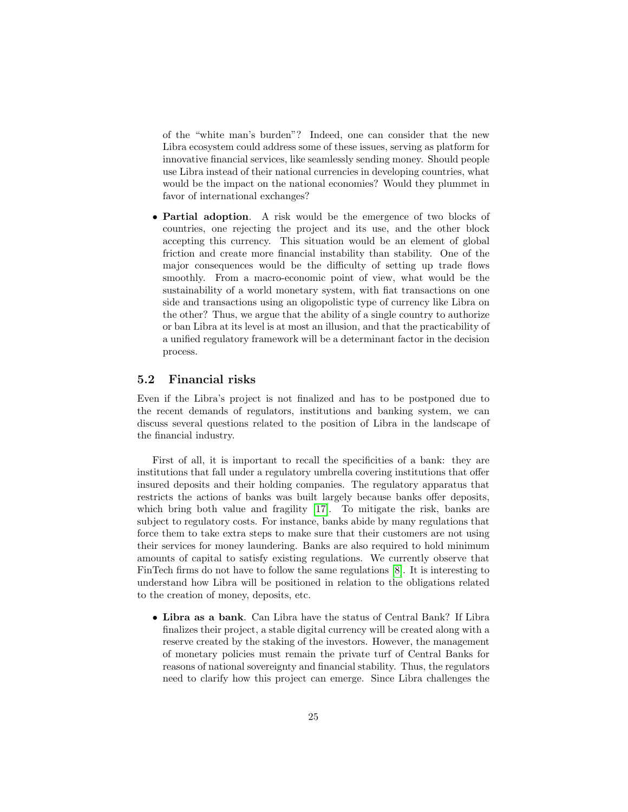of the "white man's burden"? Indeed, one can consider that the new Libra ecosystem could address some of these issues, serving as platform for innovative financial services, like seamlessly sending money. Should people use Libra instead of their national currencies in developing countries, what would be the impact on the national economies? Would they plummet in favor of international exchanges?

• Partial adoption. A risk would be the emergence of two blocks of countries, one rejecting the project and its use, and the other block accepting this currency. This situation would be an element of global friction and create more financial instability than stability. One of the major consequences would be the difficulty of setting up trade flows smoothly. From a macro-economic point of view, what would be the sustainability of a world monetary system, with fiat transactions on one side and transactions using an oligopolistic type of currency like Libra on the other? Thus, we argue that the ability of a single country to authorize or ban Libra at its level is at most an illusion, and that the practicability of a unified regulatory framework will be a determinant factor in the decision process.

# 5.2 Financial risks

Even if the Libra's project is not finalized and has to be postponed due to the recent demands of regulators, institutions and banking system, we can discuss several questions related to the position of Libra in the landscape of the financial industry.

First of all, it is important to recall the specificities of a bank: they are institutions that fall under a regulatory umbrella covering institutions that offer insured deposits and their holding companies. The regulatory apparatus that restricts the actions of banks was built largely because banks offer deposits, which bring both value and fragility [\[17\]](#page-32-10). To mitigate the risk, banks are subject to regulatory costs. For instance, banks abide by many regulations that force them to take extra steps to make sure that their customers are not using their services for money laundering. Banks are also required to hold minimum amounts of capital to satisfy existing regulations. We currently observe that FinTech firms do not have to follow the same regulations [\[8\]](#page-31-14). It is interesting to understand how Libra will be positioned in relation to the obligations related to the creation of money, deposits, etc.

• Libra as a bank. Can Libra have the status of Central Bank? If Libra finalizes their project, a stable digital currency will be created along with a reserve created by the staking of the investors. However, the management of monetary policies must remain the private turf of Central Banks for reasons of national sovereignty and financial stability. Thus, the regulators need to clarify how this project can emerge. Since Libra challenges the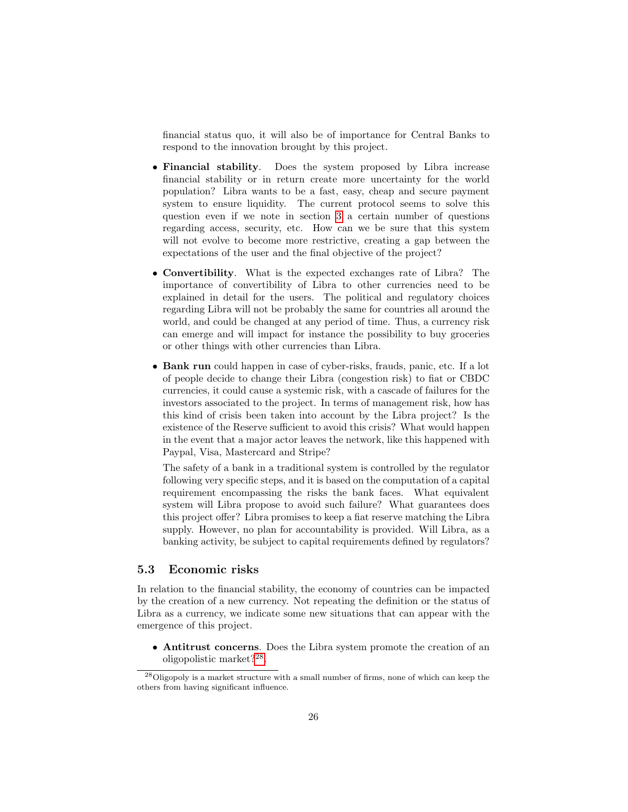financial status quo, it will also be of importance for Central Banks to respond to the innovation brought by this project.

- Financial stability. Does the system proposed by Libra increase financial stability or in return create more uncertainty for the world population? Libra wants to be a fast, easy, cheap and secure payment system to ensure liquidity. The current protocol seems to solve this question even if we note in section [3](#page-10-0) a certain number of questions regarding access, security, etc. How can we be sure that this system will not evolve to become more restrictive, creating a gap between the expectations of the user and the final objective of the project?
- Convertibility. What is the expected exchanges rate of Libra? The importance of convertibility of Libra to other currencies need to be explained in detail for the users. The political and regulatory choices regarding Libra will not be probably the same for countries all around the world, and could be changed at any period of time. Thus, a currency risk can emerge and will impact for instance the possibility to buy groceries or other things with other currencies than Libra.
- Bank run could happen in case of cyber-risks, frauds, panic, etc. If a lot of people decide to change their Libra (congestion risk) to fiat or CBDC currencies, it could cause a systemic risk, with a cascade of failures for the investors associated to the project. In terms of management risk, how has this kind of crisis been taken into account by the Libra project? Is the existence of the Reserve sufficient to avoid this crisis? What would happen in the event that a major actor leaves the network, like this happened with Paypal, Visa, Mastercard and Stripe?

The safety of a bank in a traditional system is controlled by the regulator following very specific steps, and it is based on the computation of a capital requirement encompassing the risks the bank faces. What equivalent system will Libra propose to avoid such failure? What guarantees does this project offer? Libra promises to keep a fiat reserve matching the Libra supply. However, no plan for accountability is provided. Will Libra, as a banking activity, be subject to capital requirements defined by regulators?

# 5.3 Economic risks

In relation to the financial stability, the economy of countries can be impacted by the creation of a new currency. Not repeating the definition or the status of Libra as a currency, we indicate some new situations that can appear with the emergence of this project.

• Antitrust concerns. Does the Libra system promote the creation of an oligopolistic market?[28](#page-25-0) .

<span id="page-25-0"></span> $^{28}$ Oligopoly is a market structure with a small number of firms, none of which can keep the others from having significant influence.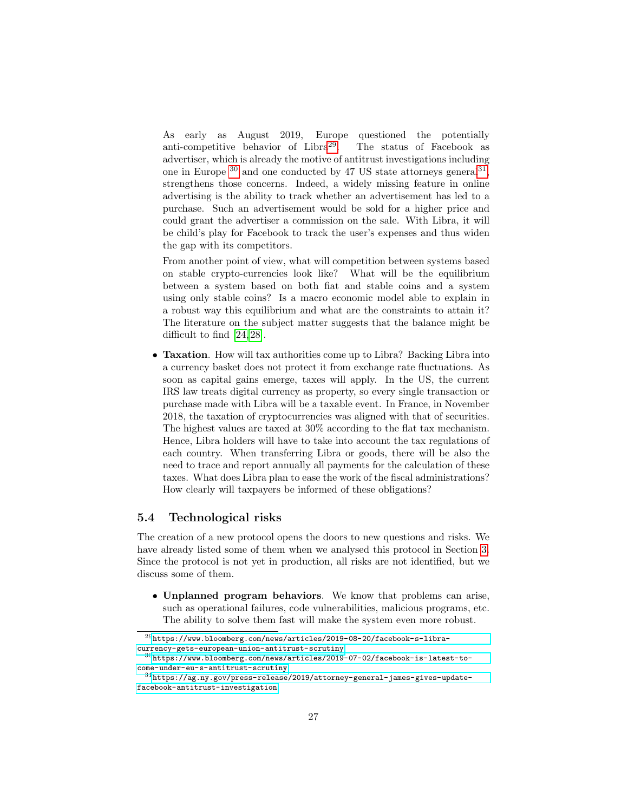As early as August 2019, Europe questioned the potentially anti-competitive behavior of Libra<sup>[29](#page-26-0)</sup>. The status of Facebook as advertiser, which is already the motive of antitrust investigations including one in Europe  $^{30}$  $^{30}$  $^{30}$  and one conducted by 47 US state attorneys general  $^{31}$  $^{31}$  $^{31}$ , strengthens those concerns. Indeed, a widely missing feature in online advertising is the ability to track whether an advertisement has led to a purchase. Such an advertisement would be sold for a higher price and could grant the advertiser a commission on the sale. With Libra, it will be child's play for Facebook to track the user's expenses and thus widen the gap with its competitors.

From another point of view, what will competition between systems based on stable crypto-currencies look like? What will be the equilibrium between a system based on both fiat and stable coins and a system using only stable coins? Is a macro economic model able to explain in a robust way this equilibrium and what are the constraints to attain it? The literature on the subject matter suggests that the balance might be difficult to find [\[24,](#page-32-11) [28\]](#page-32-12).

• Taxation. How will tax authorities come up to Libra? Backing Libra into a currency basket does not protect it from exchange rate fluctuations. As soon as capital gains emerge, taxes will apply. In the US, the current IRS law treats digital currency as property, so every single transaction or purchase made with Libra will be a taxable event. In France, in November 2018, the taxation of cryptocurrencies was aligned with that of securities. The highest values are taxed at 30% according to the flat tax mechanism. Hence, Libra holders will have to take into account the tax regulations of each country. When transferring Libra or goods, there will be also the need to trace and report annually all payments for the calculation of these taxes. What does Libra plan to ease the work of the fiscal administrations? How clearly will taxpayers be informed of these obligations?

# 5.4 Technological risks

The creation of a new protocol opens the doors to new questions and risks. We have already listed some of them when we analysed this protocol in Section [3.](#page-10-0) Since the protocol is not yet in production, all risks are not identified, but we discuss some of them.

• Unplanned program behaviors. We know that problems can arise, such as operational failures, code vulnerabilities, malicious programs, etc. The ability to solve them fast will make the system even more robust.

<span id="page-26-0"></span> $^{29}{\tt https://www.bloomberg.com/news/articles/2019-08-20/facebook-s-libra-}$ [currency-gets-european-union-antitrust-scrutiny](https://www.bloomberg.com/news/articles/2019-08-20/facebook-s-libra-currency-gets-european-union-antitrust-scrutiny)

<span id="page-26-1"></span> $30$ [https://www.bloomberg.com/news/articles/2019-07-02/facebook-is-latest-to](https://www.bloomberg.com/news/articles/2019-07-02/facebook-is-latest-to-come-under-eu-s-antitrust-scrutiny)[come-under-eu-s-antitrust-scrutiny](https://www.bloomberg.com/news/articles/2019-07-02/facebook-is-latest-to-come-under-eu-s-antitrust-scrutiny)

<span id="page-26-2"></span> $31$ [https://ag.ny.gov/press-release/2019/attorney-general-james-gives-update](https://ag.ny.gov/press-release/2019/attorney-general-james-gives-update-facebook-antitrust-investigation)[facebook-antitrust-investigation](https://ag.ny.gov/press-release/2019/attorney-general-james-gives-update-facebook-antitrust-investigation)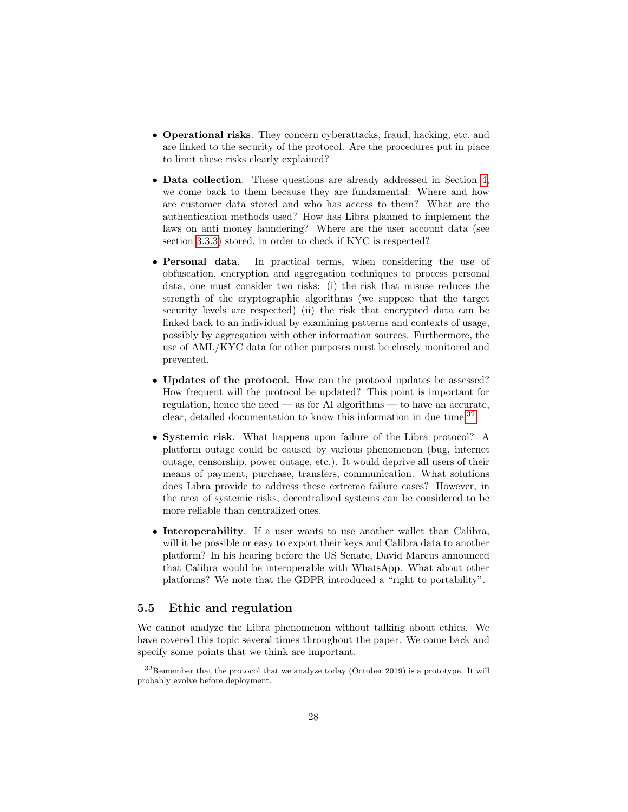- Operational risks. They concern cyberattacks, fraud, hacking, etc. and are linked to the security of the protocol. Are the procedures put in place to limit these risks clearly explained?
- Data collection. These questions are already addressed in Section [4,](#page-16-0) we come back to them because they are fundamental: Where and how are customer data stored and who has access to them? What are the authentication methods used? How has Libra planned to implement the laws on anti money laundering? Where are the user account data (see section [3.3.3\)](#page-12-0) stored, in order to check if KYC is respected?
- Personal data. In practical terms, when considering the use of obfuscation, encryption and aggregation techniques to process personal data, one must consider two risks: (i) the risk that misuse reduces the strength of the cryptographic algorithms (we suppose that the target security levels are respected) (ii) the risk that encrypted data can be linked back to an individual by examining patterns and contexts of usage, possibly by aggregation with other information sources. Furthermore, the use of AML/KYC data for other purposes must be closely monitored and prevented.
- Updates of the protocol. How can the protocol updates be assessed? How frequent will the protocol be updated? This point is important for regulation, hence the need — as for AI algorithms — to have an accurate, clear, detailed documentation to know this information in due time.<sup>[32](#page-27-0)</sup>
- Systemic risk. What happens upon failure of the Libra protocol? A platform outage could be caused by various phenomenon (bug, internet outage, censorship, power outage, etc.). It would deprive all users of their means of payment, purchase, transfers, communication. What solutions does Libra provide to address these extreme failure cases? However, in the area of systemic risks, decentralized systems can be considered to be more reliable than centralized ones.
- Interoperability. If a user wants to use another wallet than Calibra, will it be possible or easy to export their keys and Calibra data to another platform? In his hearing before the US Senate, David Marcus announced that Calibra would be interoperable with WhatsApp. What about other platforms? We note that the GDPR introduced a "right to portability".

# 5.5 Ethic and regulation

We cannot analyze the Libra phenomenon without talking about ethics. We have covered this topic several times throughout the paper. We come back and specify some points that we think are important.

<span id="page-27-0"></span><sup>32</sup>Remember that the protocol that we analyze today (October 2019) is a prototype. It will probably evolve before deployment.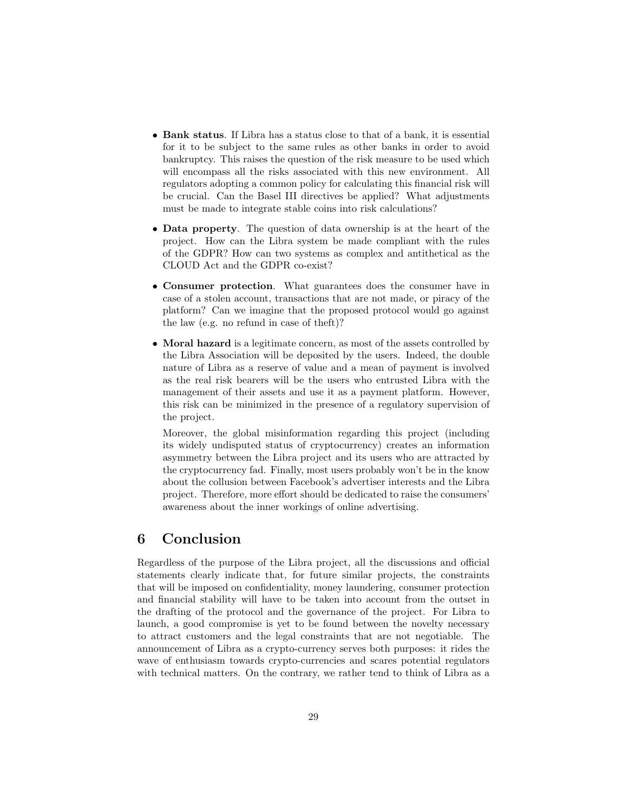- Bank status. If Libra has a status close to that of a bank, it is essential for it to be subject to the same rules as other banks in order to avoid bankruptcy. This raises the question of the risk measure to be used which will encompass all the risks associated with this new environment. All regulators adopting a common policy for calculating this financial risk will be crucial. Can the Basel III directives be applied? What adjustments must be made to integrate stable coins into risk calculations?
- Data property. The question of data ownership is at the heart of the project. How can the Libra system be made compliant with the rules of the GDPR? How can two systems as complex and antithetical as the CLOUD Act and the GDPR co-exist?
- Consumer protection. What guarantees does the consumer have in case of a stolen account, transactions that are not made, or piracy of the platform? Can we imagine that the proposed protocol would go against the law (e.g. no refund in case of theft)?
- Moral hazard is a legitimate concern, as most of the assets controlled by the Libra Association will be deposited by the users. Indeed, the double nature of Libra as a reserve of value and a mean of payment is involved as the real risk bearers will be the users who entrusted Libra with the management of their assets and use it as a payment platform. However, this risk can be minimized in the presence of a regulatory supervision of the project.

Moreover, the global misinformation regarding this project (including its widely undisputed status of cryptocurrency) creates an information asymmetry between the Libra project and its users who are attracted by the cryptocurrency fad. Finally, most users probably won't be in the know about the collusion between Facebook's advertiser interests and the Libra project. Therefore, more effort should be dedicated to raise the consumers' awareness about the inner workings of online advertising.

# <span id="page-28-0"></span>6 Conclusion

Regardless of the purpose of the Libra project, all the discussions and official statements clearly indicate that, for future similar projects, the constraints that will be imposed on confidentiality, money laundering, consumer protection and financial stability will have to be taken into account from the outset in the drafting of the protocol and the governance of the project. For Libra to launch, a good compromise is yet to be found between the novelty necessary to attract customers and the legal constraints that are not negotiable. The announcement of Libra as a crypto-currency serves both purposes: it rides the wave of enthusiasm towards crypto-currencies and scares potential regulators with technical matters. On the contrary, we rather tend to think of Libra as a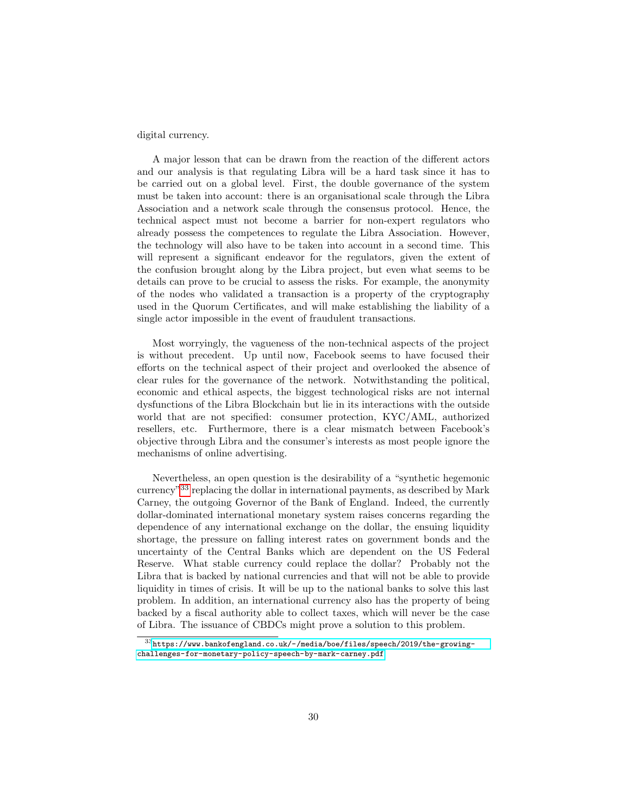digital currency.

A major lesson that can be drawn from the reaction of the different actors and our analysis is that regulating Libra will be a hard task since it has to be carried out on a global level. First, the double governance of the system must be taken into account: there is an organisational scale through the Libra Association and a network scale through the consensus protocol. Hence, the technical aspect must not become a barrier for non-expert regulators who already possess the competences to regulate the Libra Association. However, the technology will also have to be taken into account in a second time. This will represent a significant endeavor for the regulators, given the extent of the confusion brought along by the Libra project, but even what seems to be details can prove to be crucial to assess the risks. For example, the anonymity of the nodes who validated a transaction is a property of the cryptography used in the Quorum Certificates, and will make establishing the liability of a single actor impossible in the event of fraudulent transactions.

Most worryingly, the vagueness of the non-technical aspects of the project is without precedent. Up until now, Facebook seems to have focused their efforts on the technical aspect of their project and overlooked the absence of clear rules for the governance of the network. Notwithstanding the political, economic and ethical aspects, the biggest technological risks are not internal dysfunctions of the Libra Blockchain but lie in its interactions with the outside world that are not specified: consumer protection, KYC/AML, authorized resellers, etc. Furthermore, there is a clear mismatch between Facebook's objective through Libra and the consumer's interests as most people ignore the mechanisms of online advertising.

Nevertheless, an open question is the desirability of a "synthetic hegemonic currency"[33](#page-29-0) replacing the dollar in international payments, as described by Mark Carney, the outgoing Governor of the Bank of England. Indeed, the currently dollar-dominated international monetary system raises concerns regarding the dependence of any international exchange on the dollar, the ensuing liquidity shortage, the pressure on falling interest rates on government bonds and the uncertainty of the Central Banks which are dependent on the US Federal Reserve. What stable currency could replace the dollar? Probably not the Libra that is backed by national currencies and that will not be able to provide liquidity in times of crisis. It will be up to the national banks to solve this last problem. In addition, an international currency also has the property of being backed by a fiscal authority able to collect taxes, which will never be the case of Libra. The issuance of CBDCs might prove a solution to this problem.

<span id="page-29-0"></span> $^{33}{\rm https://www.bankofengland.co.uk/~/media/boe/files/speech/2019/the-group}$ [challenges-for-monetary-policy-speech-by-mark-carney.pdf](https://www.bankofengland.co.uk/-/media/boe/files/speech/2019/the-growing-challenges-for-monetary-policy-speech-by-mark-carney.pdf)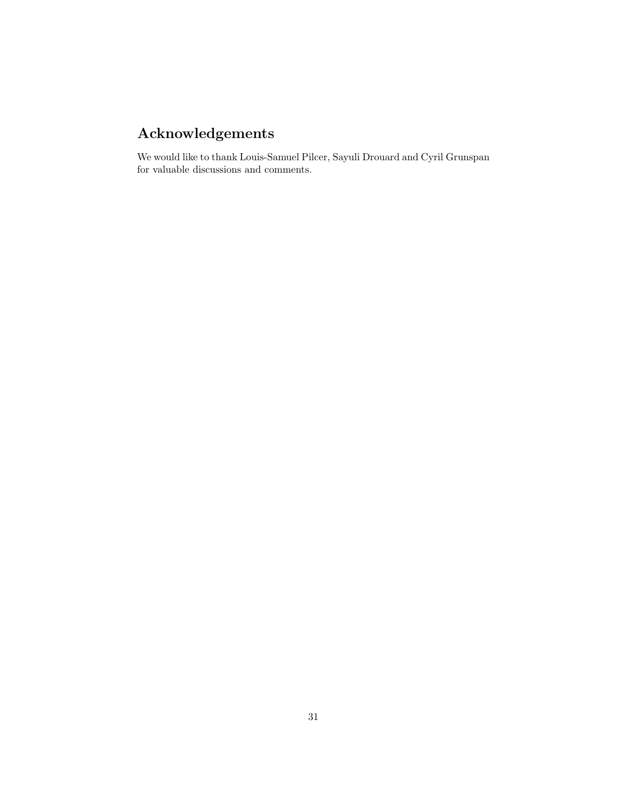# Acknowledgements

We would like to thank Louis-Samuel Pilcer, Sayuli Drouard and Cyril Grunspan for valuable discussions and comments.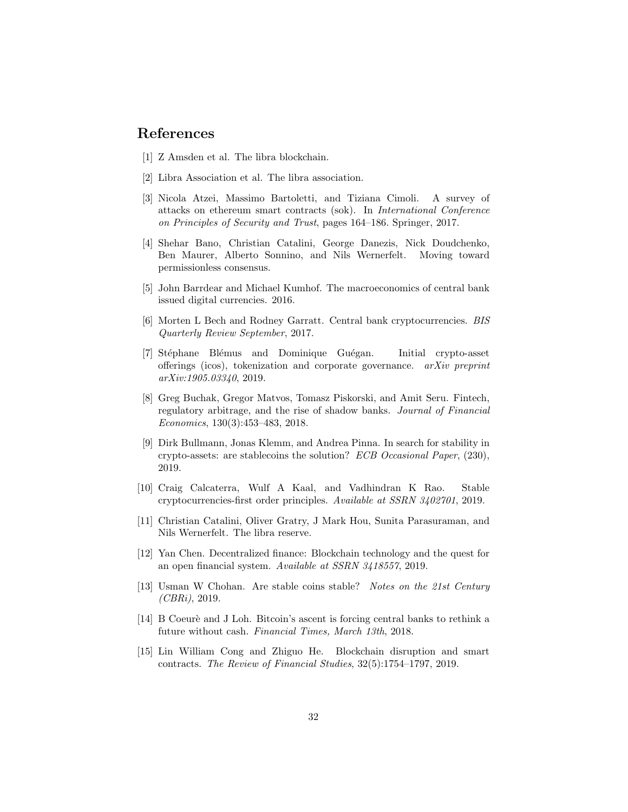# References

- <span id="page-31-10"></span>[1] Z Amsden et al. The libra blockchain.
- <span id="page-31-0"></span>[2] Libra Association et al. The libra association.
- <span id="page-31-12"></span>[3] Nicola Atzei, Massimo Bartoletti, and Tiziana Cimoli. A survey of attacks on ethereum smart contracts (sok). In International Conference on Principles of Security and Trust, pages 164–186. Springer, 2017.
- <span id="page-31-11"></span>[4] Shehar Bano, Christian Catalini, George Danezis, Nick Doudchenko, Ben Maurer, Alberto Sonnino, and Nils Wernerfelt. Moving toward permissionless consensus.
- <span id="page-31-8"></span>[5] John Barrdear and Michael Kumhof. The macroeconomics of central bank issued digital currencies. 2016.
- <span id="page-31-9"></span>[6] Morten L Bech and Rodney Garratt. Central bank cryptocurrencies. BIS Quarterly Review September, 2017.
- <span id="page-31-13"></span>[7] Stéphane Blémus and Dominique Guégan. Initial crypto-asset offerings (icos), tokenization and corporate governance. arXiv preprint arXiv:1905.03340, 2019.
- <span id="page-31-14"></span>[8] Greg Buchak, Gregor Matvos, Tomasz Piskorski, and Amit Seru. Fintech, regulatory arbitrage, and the rise of shadow banks. Journal of Financial Economics, 130(3):453–483, 2018.
- <span id="page-31-5"></span>[9] Dirk Bullmann, Jonas Klemm, and Andrea Pinna. In search for stability in crypto-assets: are stablecoins the solution? ECB Occasional Paper, (230), 2019.
- <span id="page-31-4"></span>[10] Craig Calcaterra, Wulf A Kaal, and Vadhindran K Rao. Stable cryptocurrencies-first order principles. Available at SSRN 3402701, 2019.
- <span id="page-31-3"></span>[11] Christian Catalini, Oliver Gratry, J Mark Hou, Sunita Parasuraman, and Nils Wernerfelt. The libra reserve.
- <span id="page-31-1"></span>[12] Yan Chen. Decentralized finance: Blockchain technology and the quest for an open financial system. Available at SSRN 3418557, 2019.
- <span id="page-31-6"></span>[13] Usman W Chohan. Are stable coins stable? Notes on the 21st Century  $(CBRi)$ , 2019.
- <span id="page-31-7"></span>[14] B Coeurè and J Loh. Bitcoin's ascent is forcing central banks to rethink a future without cash. Financial Times, March 13th, 2018.
- <span id="page-31-2"></span>[15] Lin William Cong and Zhiguo He. Blockchain disruption and smart contracts. The Review of Financial Studies, 32(5):1754–1797, 2019.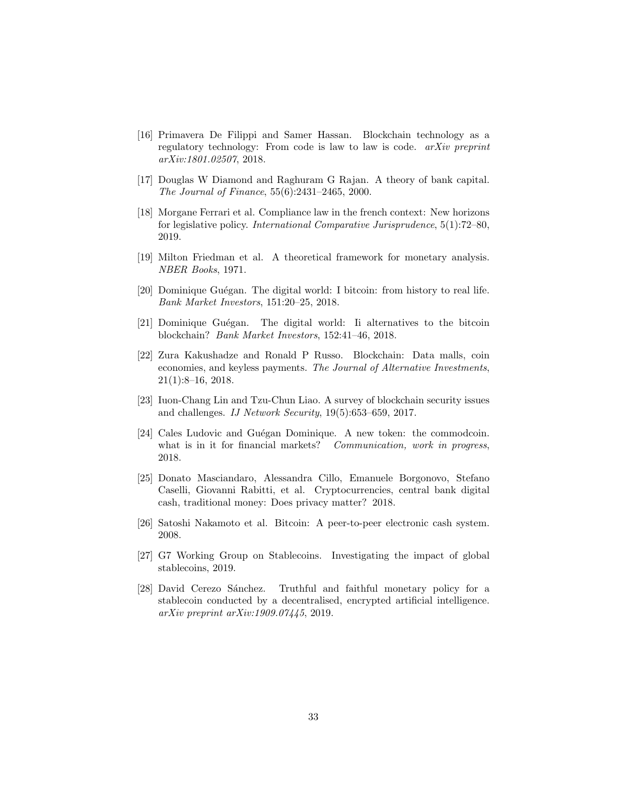- <span id="page-32-8"></span>[16] Primavera De Filippi and Samer Hassan. Blockchain technology as a regulatory technology: From code is law to law is code. arXiv preprint arXiv:1801.02507, 2018.
- <span id="page-32-10"></span>[17] Douglas W Diamond and Raghuram G Rajan. A theory of bank capital. The Journal of Finance, 55(6):2431–2465, 2000.
- <span id="page-32-9"></span>[18] Morgane Ferrari et al. Compliance law in the french context: New horizons for legislative policy. International Comparative Jurisprudence, 5(1):72–80, 2019.
- <span id="page-32-4"></span>[19] Milton Friedman et al. A theoretical framework for monetary analysis. NBER Books, 1971.
- <span id="page-32-1"></span>[20] Dominique Guégan. The digital world: I bitcoin: from history to real life. Bank Market Investors, 151:20–25, 2018.
- <span id="page-32-2"></span>[21] Dominique Guégan. The digital world: Ii alternatives to the bitcoin blockchain? Bank Market Investors, 152:41–46, 2018.
- <span id="page-32-6"></span>[22] Zura Kakushadze and Ronald P Russo. Blockchain: Data malls, coin economies, and keyless payments. The Journal of Alternative Investments, 21(1):8–16, 2018.
- <span id="page-32-3"></span>[23] Iuon-Chang Lin and Tzu-Chun Liao. A survey of blockchain security issues and challenges. IJ Network Security, 19(5):653–659, 2017.
- <span id="page-32-11"></span>[24] Cales Ludovic and Guégan Dominique. A new token: the commodcoin. what is in it for financial markets? Communication, work in progress, 2018.
- <span id="page-32-7"></span>[25] Donato Masciandaro, Alessandra Cillo, Emanuele Borgonovo, Stefano Caselli, Giovanni Rabitti, et al. Cryptocurrencies, central bank digital cash, traditional money: Does privacy matter? 2018.
- <span id="page-32-0"></span>[26] Satoshi Nakamoto et al. Bitcoin: A peer-to-peer electronic cash system. 2008.
- <span id="page-32-5"></span>[27] G7 Working Group on Stablecoins. Investigating the impact of global stablecoins, 2019.
- <span id="page-32-12"></span>[28] David Cerezo Sánchez. Truthful and faithful monetary policy for a stablecoin conducted by a decentralised, encrypted artificial intelligence. arXiv preprint arXiv:1909.07445, 2019.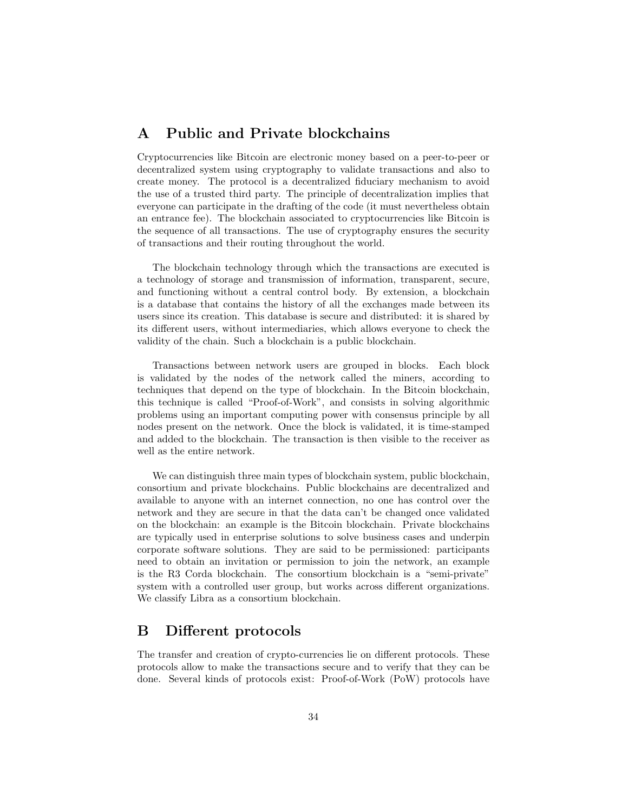# <span id="page-33-0"></span>A Public and Private blockchains

Cryptocurrencies like Bitcoin are electronic money based on a peer-to-peer or decentralized system using cryptography to validate transactions and also to create money. The protocol is a decentralized fiduciary mechanism to avoid the use of a trusted third party. The principle of decentralization implies that everyone can participate in the drafting of the code (it must nevertheless obtain an entrance fee). The blockchain associated to cryptocurrencies like Bitcoin is the sequence of all transactions. The use of cryptography ensures the security of transactions and their routing throughout the world.

The blockchain technology through which the transactions are executed is a technology of storage and transmission of information, transparent, secure, and functioning without a central control body. By extension, a blockchain is a database that contains the history of all the exchanges made between its users since its creation. This database is secure and distributed: it is shared by its different users, without intermediaries, which allows everyone to check the validity of the chain. Such a blockchain is a public blockchain.

Transactions between network users are grouped in blocks. Each block is validated by the nodes of the network called the miners, according to techniques that depend on the type of blockchain. In the Bitcoin blockchain, this technique is called "Proof-of-Work", and consists in solving algorithmic problems using an important computing power with consensus principle by all nodes present on the network. Once the block is validated, it is time-stamped and added to the blockchain. The transaction is then visible to the receiver as well as the entire network.

We can distinguish three main types of blockchain system, public blockchain, consortium and private blockchains. Public blockchains are decentralized and available to anyone with an internet connection, no one has control over the network and they are secure in that the data can't be changed once validated on the blockchain: an example is the Bitcoin blockchain. Private blockchains are typically used in enterprise solutions to solve business cases and underpin corporate software solutions. They are said to be permissioned: participants need to obtain an invitation or permission to join the network, an example is the R3 Corda blockchain. The consortium blockchain is a "semi-private" system with a controlled user group, but works across different organizations. We classify Libra as a consortium blockchain.

# <span id="page-33-1"></span>B Different protocols

The transfer and creation of crypto-currencies lie on different protocols. These protocols allow to make the transactions secure and to verify that they can be done. Several kinds of protocols exist: Proof-of-Work (PoW) protocols have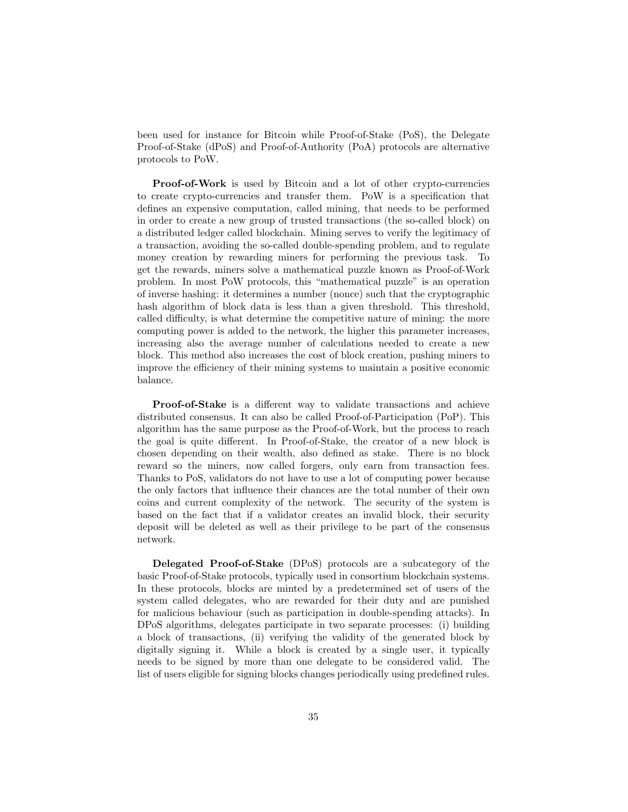been used for instance for Bitcoin while Proof-of-Stake (PoS), the Delegate Proof-of-Stake (dPoS) and Proof-of-Authority (PoA) protocols are alternative protocols to PoW.

Proof-of-Work is used by Bitcoin and a lot of other crypto-currencies to create crypto-currencies and transfer them. PoW is a specification that defines an expensive computation, called mining, that needs to be performed in order to create a new group of trusted transactions (the so-called block) on a distributed ledger called blockchain. Mining serves to verify the legitimacy of a transaction, avoiding the so-called double-spending problem, and to regulate money creation by rewarding miners for performing the previous task. To get the rewards, miners solve a mathematical puzzle known as Proof-of-Work problem. In most PoW protocols, this "mathematical puzzle" is an operation of inverse hashing: it determines a number (nonce) such that the cryptographic hash algorithm of block data is less than a given threshold. This threshold, called difficulty, is what determine the competitive nature of mining: the more computing power is added to the network, the higher this parameter increases, increasing also the average number of calculations needed to create a new block. This method also increases the cost of block creation, pushing miners to improve the efficiency of their mining systems to maintain a positive economic balance.

Proof-of-Stake is a different way to validate transactions and achieve distributed consensus. It can also be called Proof-of-Participation (PoP). This algorithm has the same purpose as the Proof-of-Work, but the process to reach the goal is quite different. In Proof-of-Stake, the creator of a new block is chosen depending on their wealth, also defined as stake. There is no block reward so the miners, now called forgers, only earn from transaction fees. Thanks to PoS, validators do not have to use a lot of computing power because the only factors that influence their chances are the total number of their own coins and current complexity of the network. The security of the system is based on the fact that if a validator creates an invalid block, their security deposit will be deleted as well as their privilege to be part of the consensus network.

Delegated Proof-of-Stake (DPoS) protocols are a subcategory of the basic Proof-of-Stake protocols, typically used in consortium blockchain systems. In these protocols, blocks are minted by a predetermined set of users of the system called delegates, who are rewarded for their duty and are punished for malicious behaviour (such as participation in double-spending attacks). In DPoS algorithms, delegates participate in two separate processes: (i) building a block of transactions, (ii) verifying the validity of the generated block by digitally signing it. While a block is created by a single user, it typically needs to be signed by more than one delegate to be considered valid. The list of users eligible for signing blocks changes periodically using predefined rules.